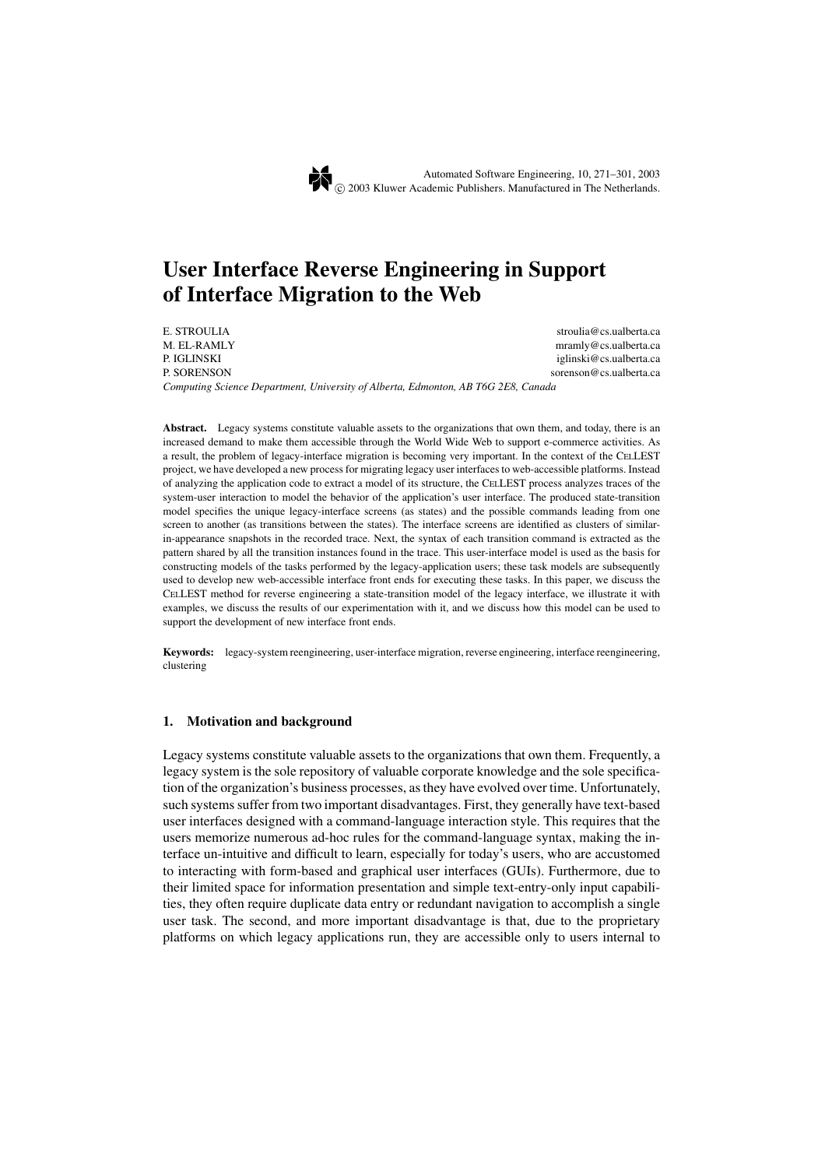# **User Interface Reverse Engineering in Support of Interface Migration to the Web**

E. STROULIA stroulia@cs.ualberta.ca M. EL-RAMLY mramly@cs.ualberta.ca P. IGLINSKI iglinski@cs.ualberta.ca P. SORENSON sorenson@cs.ualberta.ca *Computing Science Department, University of Alberta, Edmonton, AB T6G 2E8, Canada*

Abstract. Legacy systems constitute valuable assets to the organizations that own them, and today, there is an increased demand to make them accessible through the World Wide Web to support e-commerce activities. As a result, the problem of legacy-interface migration is becoming very important. In the context of the CELLEST project, we have developed a new process for migrating legacy user interfaces to web-accessible platforms. Instead of analyzing the application code to extract a model of its structure, the CELLEST process analyzes traces of the system-user interaction to model the behavior of the application's user interface. The produced state-transition model specifies the unique legacy-interface screens (as states) and the possible commands leading from one screen to another (as transitions between the states). The interface screens are identified as clusters of similarin-appearance snapshots in the recorded trace. Next, the syntax of each transition command is extracted as the pattern shared by all the transition instances found in the trace. This user-interface model is used as the basis for constructing models of the tasks performed by the legacy-application users; these task models are subsequently used to develop new web-accessible interface front ends for executing these tasks. In this paper, we discuss the CELLEST method for reverse engineering a state-transition model of the legacy interface, we illustrate it with examples, we discuss the results of our experimentation with it, and we discuss how this model can be used to support the development of new interface front ends.

**Keywords:** legacy-system reengineering, user-interface migration, reverse engineering, interface reengineering, clustering

# **1. Motivation and background**

Legacy systems constitute valuable assets to the organizations that own them. Frequently, a legacy system is the sole repository of valuable corporate knowledge and the sole specification of the organization's business processes, as they have evolved over time. Unfortunately, such systems suffer from two important disadvantages. First, they generally have text-based user interfaces designed with a command-language interaction style. This requires that the users memorize numerous ad-hoc rules for the command-language syntax, making the interface un-intuitive and difficult to learn, especially for today's users, who are accustomed to interacting with form-based and graphical user interfaces (GUIs). Furthermore, due to their limited space for information presentation and simple text-entry-only input capabilities, they often require duplicate data entry or redundant navigation to accomplish a single user task. The second, and more important disadvantage is that, due to the proprietary platforms on which legacy applications run, they are accessible only to users internal to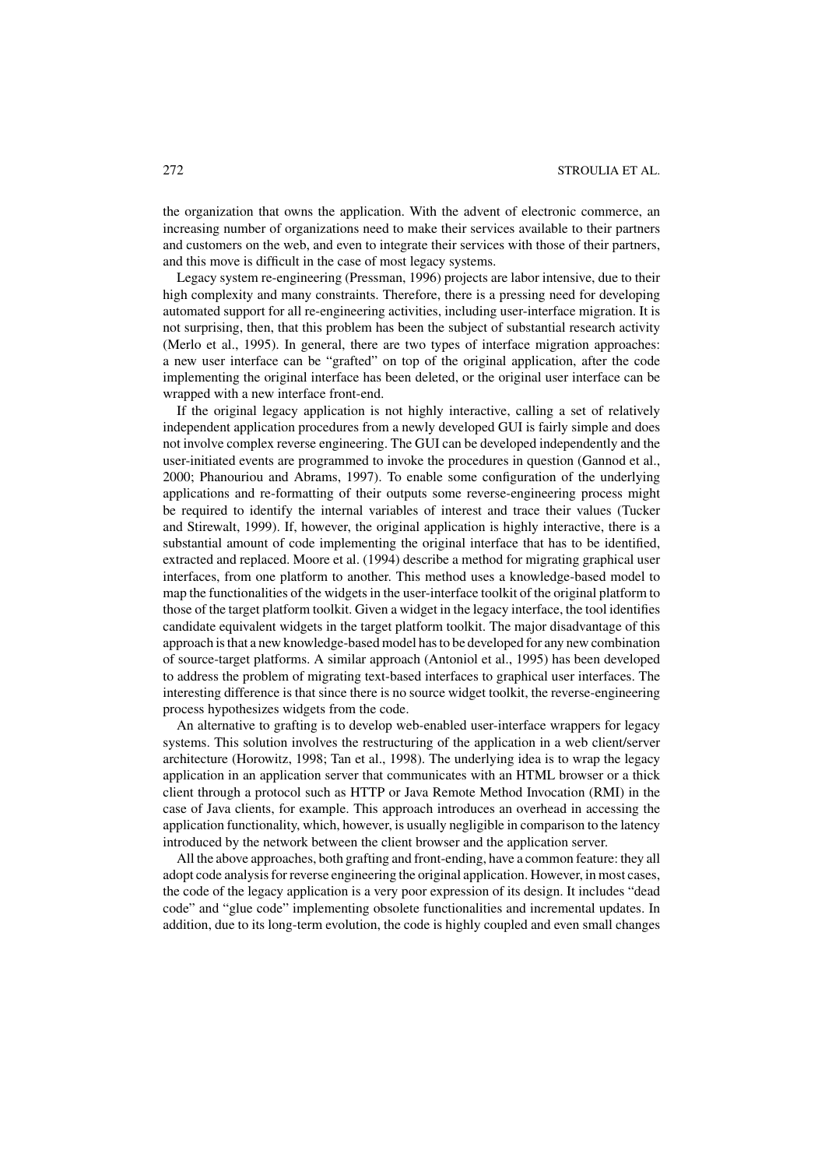the organization that owns the application. With the advent of electronic commerce, an increasing number of organizations need to make their services available to their partners and customers on the web, and even to integrate their services with those of their partners, and this move is difficult in the case of most legacy systems.

Legacy system re-engineering (Pressman, 1996) projects are labor intensive, due to their high complexity and many constraints. Therefore, there is a pressing need for developing automated support for all re-engineering activities, including user-interface migration. It is not surprising, then, that this problem has been the subject of substantial research activity (Merlo et al., 1995). In general, there are two types of interface migration approaches: a new user interface can be "grafted" on top of the original application, after the code implementing the original interface has been deleted, or the original user interface can be wrapped with a new interface front-end.

If the original legacy application is not highly interactive, calling a set of relatively independent application procedures from a newly developed GUI is fairly simple and does not involve complex reverse engineering. The GUI can be developed independently and the user-initiated events are programmed to invoke the procedures in question (Gannod et al., 2000; Phanouriou and Abrams, 1997). To enable some configuration of the underlying applications and re-formatting of their outputs some reverse-engineering process might be required to identify the internal variables of interest and trace their values (Tucker and Stirewalt, 1999). If, however, the original application is highly interactive, there is a substantial amount of code implementing the original interface that has to be identified, extracted and replaced. Moore et al. (1994) describe a method for migrating graphical user interfaces, from one platform to another. This method uses a knowledge-based model to map the functionalities of the widgets in the user-interface toolkit of the original platform to those of the target platform toolkit. Given a widget in the legacy interface, the tool identifies candidate equivalent widgets in the target platform toolkit. The major disadvantage of this approach is that a new knowledge-based model has to be developed for any new combination of source-target platforms. A similar approach (Antoniol et al., 1995) has been developed to address the problem of migrating text-based interfaces to graphical user interfaces. The interesting difference is that since there is no source widget toolkit, the reverse-engineering process hypothesizes widgets from the code.

An alternative to grafting is to develop web-enabled user-interface wrappers for legacy systems. This solution involves the restructuring of the application in a web client/server architecture (Horowitz, 1998; Tan et al., 1998). The underlying idea is to wrap the legacy application in an application server that communicates with an HTML browser or a thick client through a protocol such as HTTP or Java Remote Method Invocation (RMI) in the case of Java clients, for example. This approach introduces an overhead in accessing the application functionality, which, however, is usually negligible in comparison to the latency introduced by the network between the client browser and the application server.

All the above approaches, both grafting and front-ending, have a common feature: they all adopt code analysis for reverse engineering the original application. However, in most cases, the code of the legacy application is a very poor expression of its design. It includes "dead code" and "glue code" implementing obsolete functionalities and incremental updates. In addition, due to its long-term evolution, the code is highly coupled and even small changes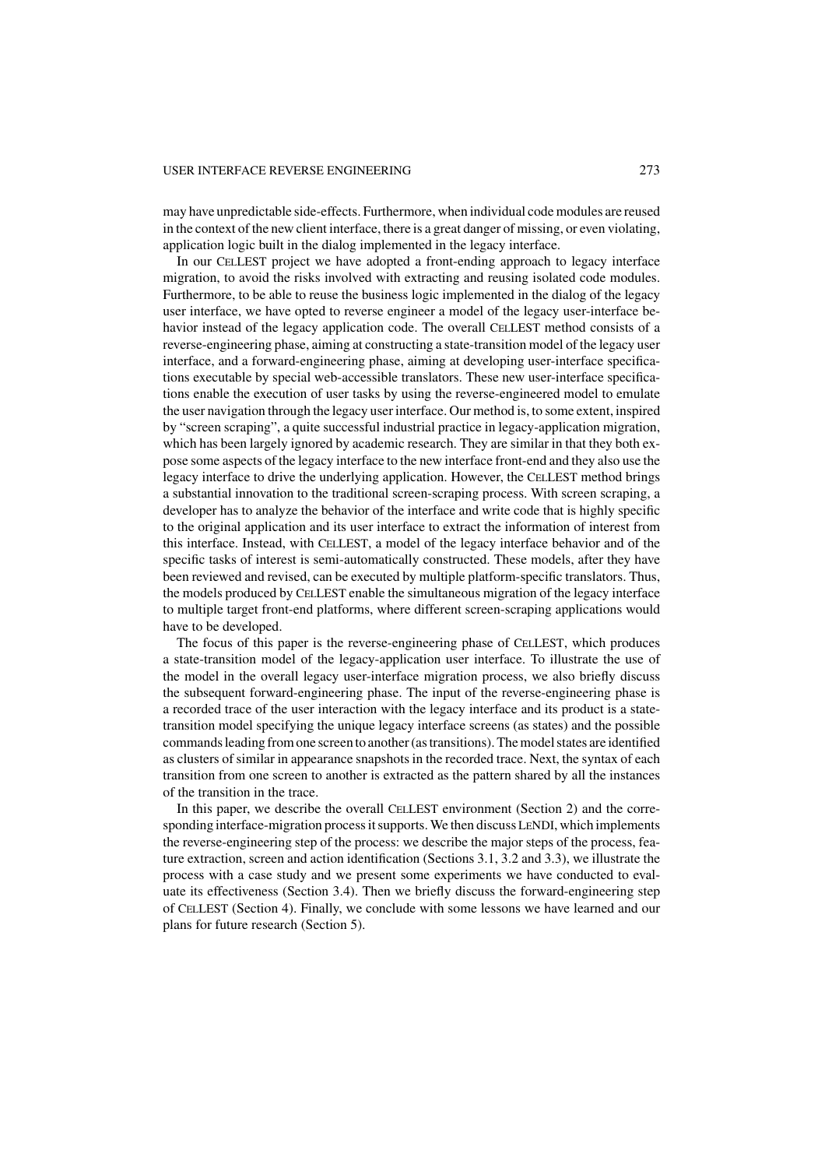may have unpredictable side-effects. Furthermore, when individual code modules are reused in the context of the new client interface, there is a great danger of missing, or even violating, application logic built in the dialog implemented in the legacy interface.

In our CELLEST project we have adopted a front-ending approach to legacy interface migration, to avoid the risks involved with extracting and reusing isolated code modules. Furthermore, to be able to reuse the business logic implemented in the dialog of the legacy user interface, we have opted to reverse engineer a model of the legacy user-interface behavior instead of the legacy application code. The overall CELLEST method consists of a reverse-engineering phase, aiming at constructing a state-transition model of the legacy user interface, and a forward-engineering phase, aiming at developing user-interface specifications executable by special web-accessible translators. These new user-interface specifications enable the execution of user tasks by using the reverse-engineered model to emulate the user navigation through the legacy user interface. Our method is, to some extent, inspired by "screen scraping", a quite successful industrial practice in legacy-application migration, which has been largely ignored by academic research. They are similar in that they both expose some aspects of the legacy interface to the new interface front-end and they also use the legacy interface to drive the underlying application. However, the CELLEST method brings a substantial innovation to the traditional screen-scraping process. With screen scraping, a developer has to analyze the behavior of the interface and write code that is highly specific to the original application and its user interface to extract the information of interest from this interface. Instead, with CELLEST, a model of the legacy interface behavior and of the specific tasks of interest is semi-automatically constructed. These models, after they have been reviewed and revised, can be executed by multiple platform-specific translators. Thus, the models produced by CELLEST enable the simultaneous migration of the legacy interface to multiple target front-end platforms, where different screen-scraping applications would have to be developed.

The focus of this paper is the reverse-engineering phase of CELLEST, which produces a state-transition model of the legacy-application user interface. To illustrate the use of the model in the overall legacy user-interface migration process, we also briefly discuss the subsequent forward-engineering phase. The input of the reverse-engineering phase is a recorded trace of the user interaction with the legacy interface and its product is a statetransition model specifying the unique legacy interface screens (as states) and the possible commands leading from one screen to another (as transitions). The model states are identified as clusters of similar in appearance snapshots in the recorded trace. Next, the syntax of each transition from one screen to another is extracted as the pattern shared by all the instances of the transition in the trace.

In this paper, we describe the overall CELLEST environment (Section 2) and the corresponding interface-migration process it supports. We then discuss LENDI, which implements the reverse-engineering step of the process: we describe the major steps of the process, feature extraction, screen and action identification (Sections 3.1, 3.2 and 3.3), we illustrate the process with a case study and we present some experiments we have conducted to evaluate its effectiveness (Section 3.4). Then we briefly discuss the forward-engineering step of CELLEST (Section 4). Finally, we conclude with some lessons we have learned and our plans for future research (Section 5).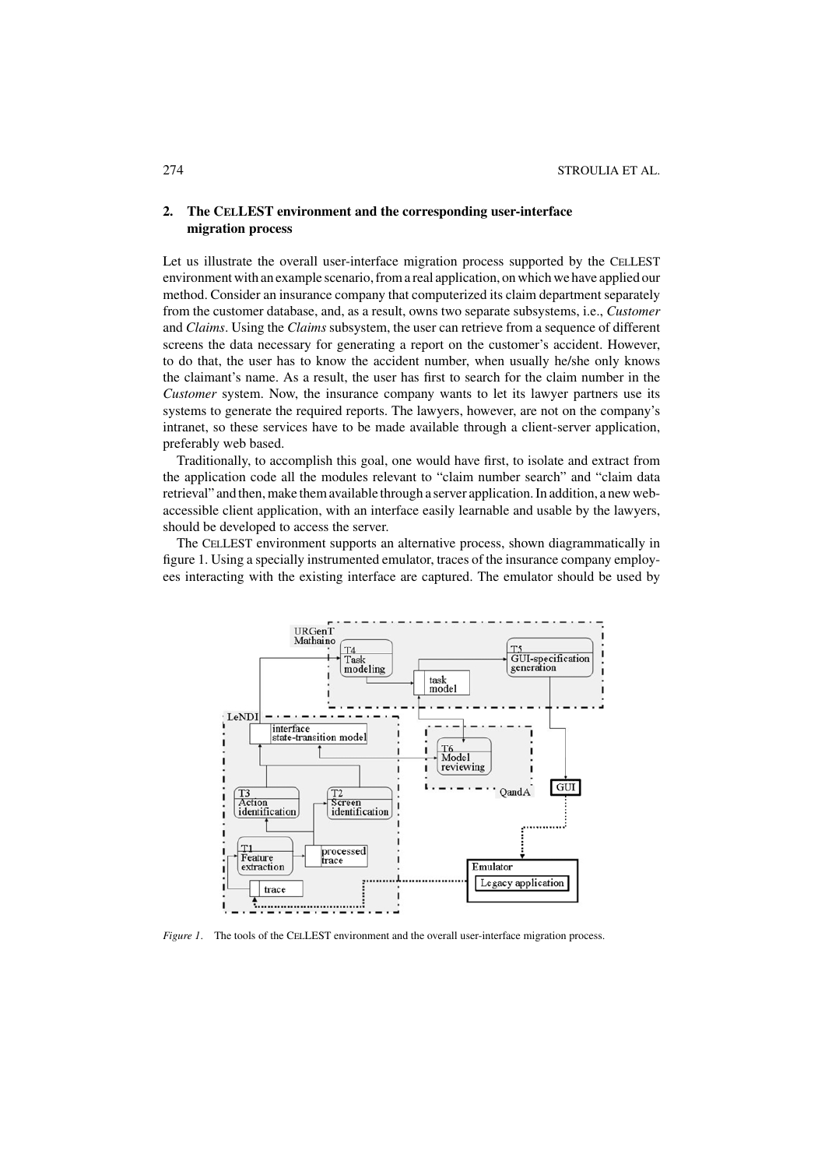# **2. The CELLEST environment and the corresponding user-interface migration process**

Let us illustrate the overall user-interface migration process supported by the CELLEST environment with an example scenario, from a real application, on which we have applied our method. Consider an insurance company that computerized its claim department separately from the customer database, and, as a result, owns two separate subsystems, i.e., *Customer* and *Claims*. Using the *Claims* subsystem, the user can retrieve from a sequence of different screens the data necessary for generating a report on the customer's accident. However, to do that, the user has to know the accident number, when usually he/she only knows the claimant's name. As a result, the user has first to search for the claim number in the *Customer* system. Now, the insurance company wants to let its lawyer partners use its systems to generate the required reports. The lawyers, however, are not on the company's intranet, so these services have to be made available through a client-server application, preferably web based.

Traditionally, to accomplish this goal, one would have first, to isolate and extract from the application code all the modules relevant to "claim number search" and "claim data retrieval" and then, make them available through a server application. In addition, a new webaccessible client application, with an interface easily learnable and usable by the lawyers, should be developed to access the server.

The CELLEST environment supports an alternative process, shown diagrammatically in figure 1. Using a specially instrumented emulator, traces of the insurance company employees interacting with the existing interface are captured. The emulator should be used by



*Figure 1.* The tools of the CELLEST environment and the overall user-interface migration process.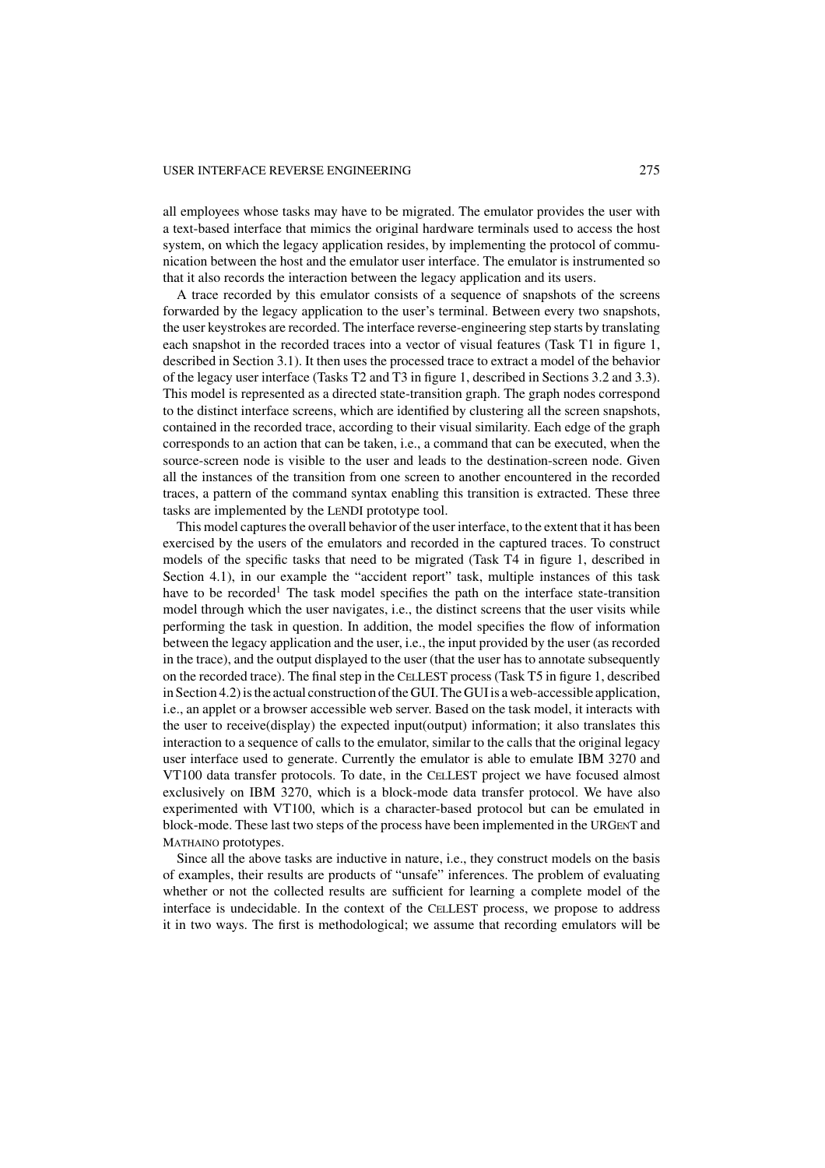all employees whose tasks may have to be migrated. The emulator provides the user with a text-based interface that mimics the original hardware terminals used to access the host system, on which the legacy application resides, by implementing the protocol of communication between the host and the emulator user interface. The emulator is instrumented so that it also records the interaction between the legacy application and its users.

A trace recorded by this emulator consists of a sequence of snapshots of the screens forwarded by the legacy application to the user's terminal. Between every two snapshots, the user keystrokes are recorded. The interface reverse-engineering step starts by translating each snapshot in the recorded traces into a vector of visual features (Task T1 in figure 1, described in Section 3.1). It then uses the processed trace to extract a model of the behavior of the legacy user interface (Tasks T2 and T3 in figure 1, described in Sections 3.2 and 3.3). This model is represented as a directed state-transition graph. The graph nodes correspond to the distinct interface screens, which are identified by clustering all the screen snapshots, contained in the recorded trace, according to their visual similarity. Each edge of the graph corresponds to an action that can be taken, i.e., a command that can be executed, when the source-screen node is visible to the user and leads to the destination-screen node. Given all the instances of the transition from one screen to another encountered in the recorded traces, a pattern of the command syntax enabling this transition is extracted. These three tasks are implemented by the LENDI prototype tool.

This model captures the overall behavior of the user interface, to the extent that it has been exercised by the users of the emulators and recorded in the captured traces. To construct models of the specific tasks that need to be migrated (Task T4 in figure 1, described in Section 4.1), in our example the "accident report" task, multiple instances of this task have to be recorded<sup>1</sup> The task model specifies the path on the interface state-transition model through which the user navigates, i.e., the distinct screens that the user visits while performing the task in question. In addition, the model specifies the flow of information between the legacy application and the user, i.e., the input provided by the user (as recorded in the trace), and the output displayed to the user (that the user has to annotate subsequently on the recorded trace). The final step in the CELLEST process (Task T5 in figure 1, described in Section 4.2) is the actual construction of the GUI. The GUI is a web-accessible application, i.e., an applet or a browser accessible web server. Based on the task model, it interacts with the user to receive(display) the expected input(output) information; it also translates this interaction to a sequence of calls to the emulator, similar to the calls that the original legacy user interface used to generate. Currently the emulator is able to emulate IBM 3270 and VT100 data transfer protocols. To date, in the CELLEST project we have focused almost exclusively on IBM 3270, which is a block-mode data transfer protocol. We have also experimented with VT100, which is a character-based protocol but can be emulated in block-mode. These last two steps of the process have been implemented in the URGENT and MATHAINO prototypes.

Since all the above tasks are inductive in nature, i.e., they construct models on the basis of examples, their results are products of "unsafe" inferences. The problem of evaluating whether or not the collected results are sufficient for learning a complete model of the interface is undecidable. In the context of the CELLEST process, we propose to address it in two ways. The first is methodological; we assume that recording emulators will be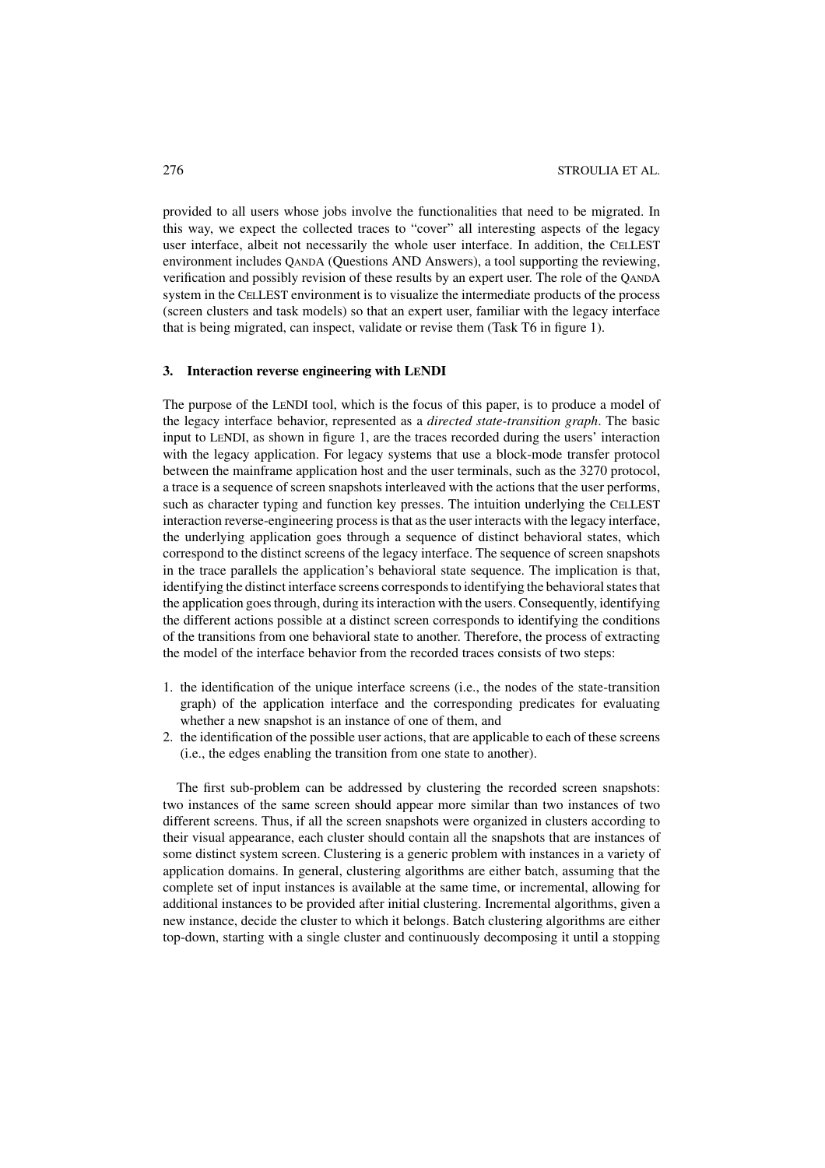provided to all users whose jobs involve the functionalities that need to be migrated. In this way, we expect the collected traces to "cover" all interesting aspects of the legacy user interface, albeit not necessarily the whole user interface. In addition, the CELLEST environment includes QANDA (Questions AND Answers), a tool supporting the reviewing, verification and possibly revision of these results by an expert user. The role of the QANDA system in the CELLEST environment is to visualize the intermediate products of the process (screen clusters and task models) so that an expert user, familiar with the legacy interface that is being migrated, can inspect, validate or revise them (Task T6 in figure 1).

# **3. Interaction reverse engineering with LENDI**

The purpose of the LENDI tool, which is the focus of this paper, is to produce a model of the legacy interface behavior, represented as a *directed state-transition graph*. The basic input to LENDI, as shown in figure 1, are the traces recorded during the users' interaction with the legacy application. For legacy systems that use a block-mode transfer protocol between the mainframe application host and the user terminals, such as the 3270 protocol, a trace is a sequence of screen snapshots interleaved with the actions that the user performs, such as character typing and function key presses. The intuition underlying the CELLEST interaction reverse-engineering process is that as the user interacts with the legacy interface, the underlying application goes through a sequence of distinct behavioral states, which correspond to the distinct screens of the legacy interface. The sequence of screen snapshots in the trace parallels the application's behavioral state sequence. The implication is that, identifying the distinct interface screens corresponds to identifying the behavioral states that the application goes through, during its interaction with the users. Consequently, identifying the different actions possible at a distinct screen corresponds to identifying the conditions of the transitions from one behavioral state to another. Therefore, the process of extracting the model of the interface behavior from the recorded traces consists of two steps:

- 1. the identification of the unique interface screens (i.e., the nodes of the state-transition graph) of the application interface and the corresponding predicates for evaluating whether a new snapshot is an instance of one of them, and
- 2. the identification of the possible user actions, that are applicable to each of these screens (i.e., the edges enabling the transition from one state to another).

The first sub-problem can be addressed by clustering the recorded screen snapshots: two instances of the same screen should appear more similar than two instances of two different screens. Thus, if all the screen snapshots were organized in clusters according to their visual appearance, each cluster should contain all the snapshots that are instances of some distinct system screen. Clustering is a generic problem with instances in a variety of application domains. In general, clustering algorithms are either batch, assuming that the complete set of input instances is available at the same time, or incremental, allowing for additional instances to be provided after initial clustering. Incremental algorithms, given a new instance, decide the cluster to which it belongs. Batch clustering algorithms are either top-down, starting with a single cluster and continuously decomposing it until a stopping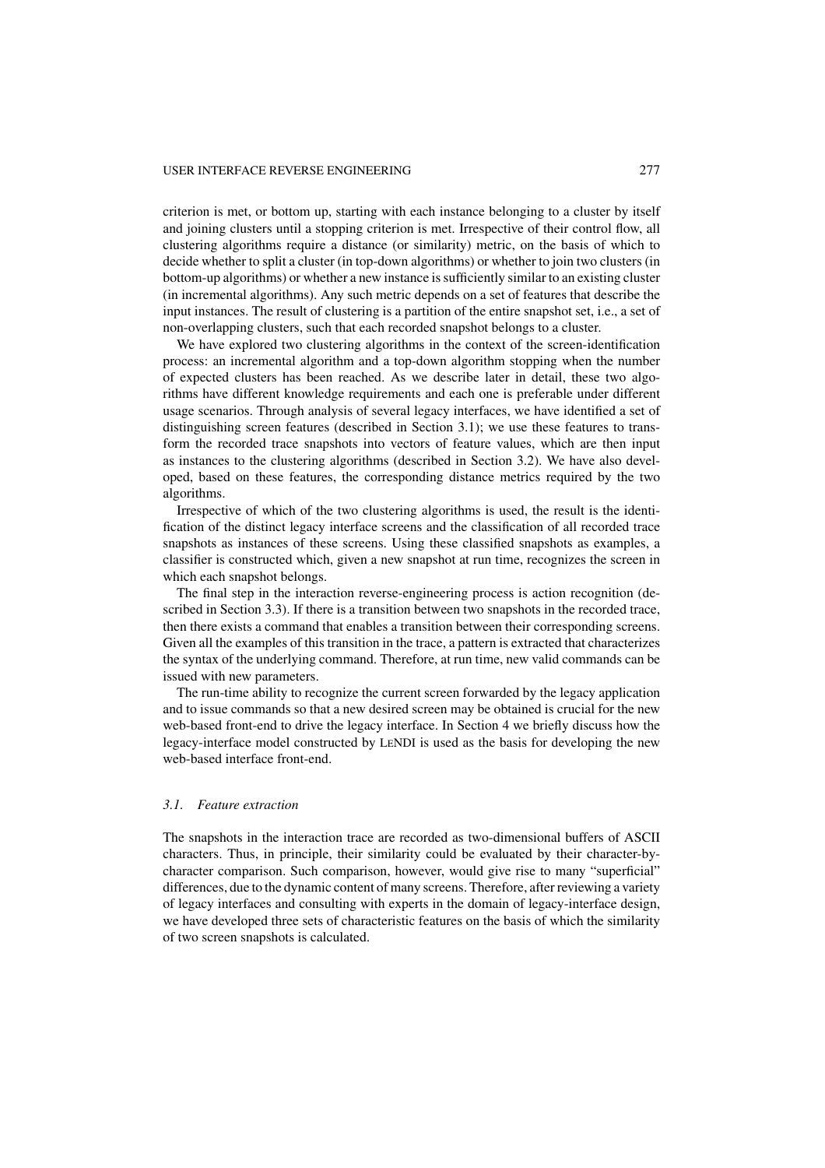criterion is met, or bottom up, starting with each instance belonging to a cluster by itself and joining clusters until a stopping criterion is met. Irrespective of their control flow, all clustering algorithms require a distance (or similarity) metric, on the basis of which to decide whether to split a cluster (in top-down algorithms) or whether to join two clusters (in bottom-up algorithms) or whether a new instance is sufficiently similar to an existing cluster (in incremental algorithms). Any such metric depends on a set of features that describe the input instances. The result of clustering is a partition of the entire snapshot set, i.e., a set of non-overlapping clusters, such that each recorded snapshot belongs to a cluster.

We have explored two clustering algorithms in the context of the screen-identification process: an incremental algorithm and a top-down algorithm stopping when the number of expected clusters has been reached. As we describe later in detail, these two algorithms have different knowledge requirements and each one is preferable under different usage scenarios. Through analysis of several legacy interfaces, we have identified a set of distinguishing screen features (described in Section 3.1); we use these features to transform the recorded trace snapshots into vectors of feature values, which are then input as instances to the clustering algorithms (described in Section 3.2). We have also developed, based on these features, the corresponding distance metrics required by the two algorithms.

Irrespective of which of the two clustering algorithms is used, the result is the identification of the distinct legacy interface screens and the classification of all recorded trace snapshots as instances of these screens. Using these classified snapshots as examples, a classifier is constructed which, given a new snapshot at run time, recognizes the screen in which each snapshot belongs.

The final step in the interaction reverse-engineering process is action recognition (described in Section 3.3). If there is a transition between two snapshots in the recorded trace, then there exists a command that enables a transition between their corresponding screens. Given all the examples of this transition in the trace, a pattern is extracted that characterizes the syntax of the underlying command. Therefore, at run time, new valid commands can be issued with new parameters.

The run-time ability to recognize the current screen forwarded by the legacy application and to issue commands so that a new desired screen may be obtained is crucial for the new web-based front-end to drive the legacy interface. In Section 4 we briefly discuss how the legacy-interface model constructed by LENDI is used as the basis for developing the new web-based interface front-end.

# *3.1. Feature extraction*

The snapshots in the interaction trace are recorded as two-dimensional buffers of ASCII characters. Thus, in principle, their similarity could be evaluated by their character-bycharacter comparison. Such comparison, however, would give rise to many "superficial" differences, due to the dynamic content of many screens. Therefore, after reviewing a variety of legacy interfaces and consulting with experts in the domain of legacy-interface design, we have developed three sets of characteristic features on the basis of which the similarity of two screen snapshots is calculated.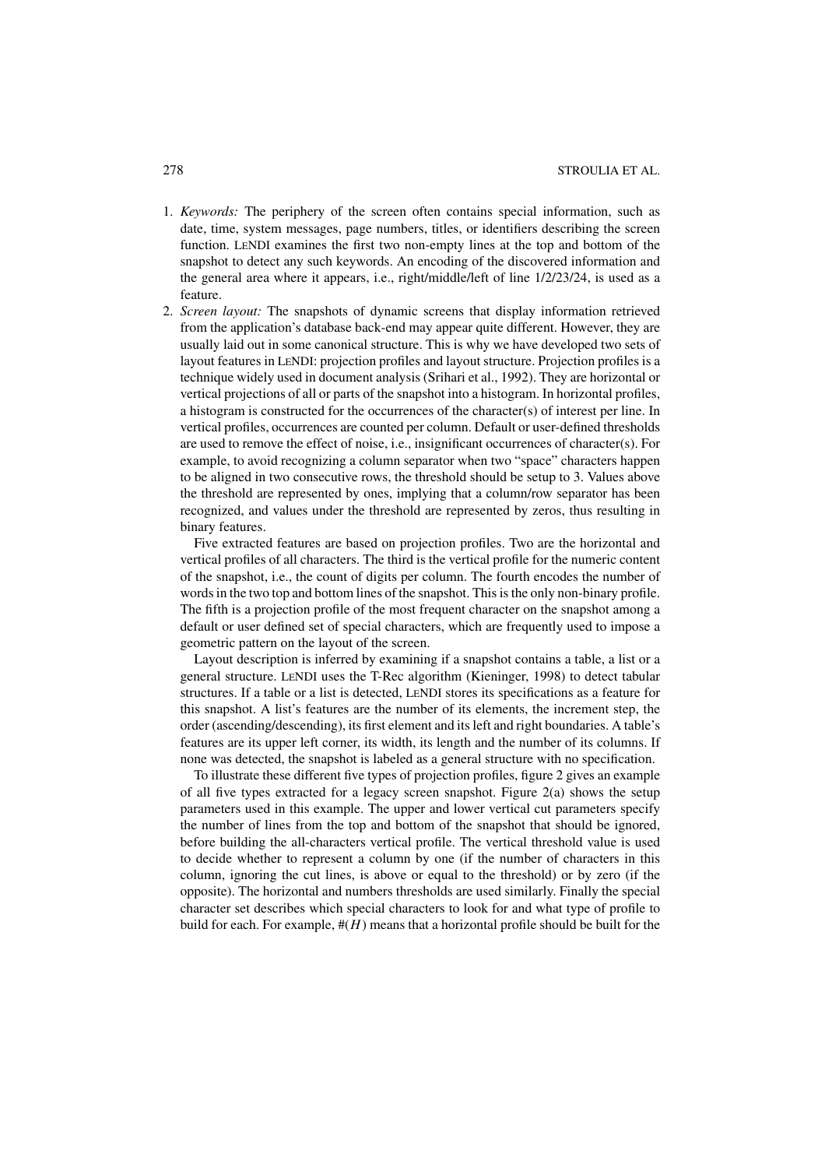- 1. *Keywords:* The periphery of the screen often contains special information, such as date, time, system messages, page numbers, titles, or identifiers describing the screen function. LENDI examines the first two non-empty lines at the top and bottom of the snapshot to detect any such keywords. An encoding of the discovered information and the general area where it appears, i.e., right/middle/left of line 1/2/23/24, is used as a feature.
- 2. *Screen layout:* The snapshots of dynamic screens that display information retrieved from the application's database back-end may appear quite different. However, they are usually laid out in some canonical structure. This is why we have developed two sets of layout features in LENDI: projection profiles and layout structure. Projection profiles is a technique widely used in document analysis (Srihari et al., 1992). They are horizontal or vertical projections of all or parts of the snapshot into a histogram. In horizontal profiles, a histogram is constructed for the occurrences of the character(s) of interest per line. In vertical profiles, occurrences are counted per column. Default or user-defined thresholds are used to remove the effect of noise, i.e., insignificant occurrences of character(s). For example, to avoid recognizing a column separator when two "space" characters happen to be aligned in two consecutive rows, the threshold should be setup to 3. Values above the threshold are represented by ones, implying that a column/row separator has been recognized, and values under the threshold are represented by zeros, thus resulting in binary features.

Five extracted features are based on projection profiles. Two are the horizontal and vertical profiles of all characters. The third is the vertical profile for the numeric content of the snapshot, i.e., the count of digits per column. The fourth encodes the number of words in the two top and bottom lines of the snapshot. This is the only non-binary profile. The fifth is a projection profile of the most frequent character on the snapshot among a default or user defined set of special characters, which are frequently used to impose a geometric pattern on the layout of the screen.

Layout description is inferred by examining if a snapshot contains a table, a list or a general structure. LENDI uses the T-Rec algorithm (Kieninger, 1998) to detect tabular structures. If a table or a list is detected, LENDI stores its specifications as a feature for this snapshot. A list's features are the number of its elements, the increment step, the order (ascending/descending), its first element and its left and right boundaries. A table's features are its upper left corner, its width, its length and the number of its columns. If none was detected, the snapshot is labeled as a general structure with no specification.

To illustrate these different five types of projection profiles, figure 2 gives an example of all five types extracted for a legacy screen snapshot. Figure 2(a) shows the setup parameters used in this example. The upper and lower vertical cut parameters specify the number of lines from the top and bottom of the snapshot that should be ignored, before building the all-characters vertical profile. The vertical threshold value is used to decide whether to represent a column by one (if the number of characters in this column, ignoring the cut lines, is above or equal to the threshold) or by zero (if the opposite). The horizontal and numbers thresholds are used similarly. Finally the special character set describes which special characters to look for and what type of profile to build for each. For example, #(*H*) means that a horizontal profile should be built for the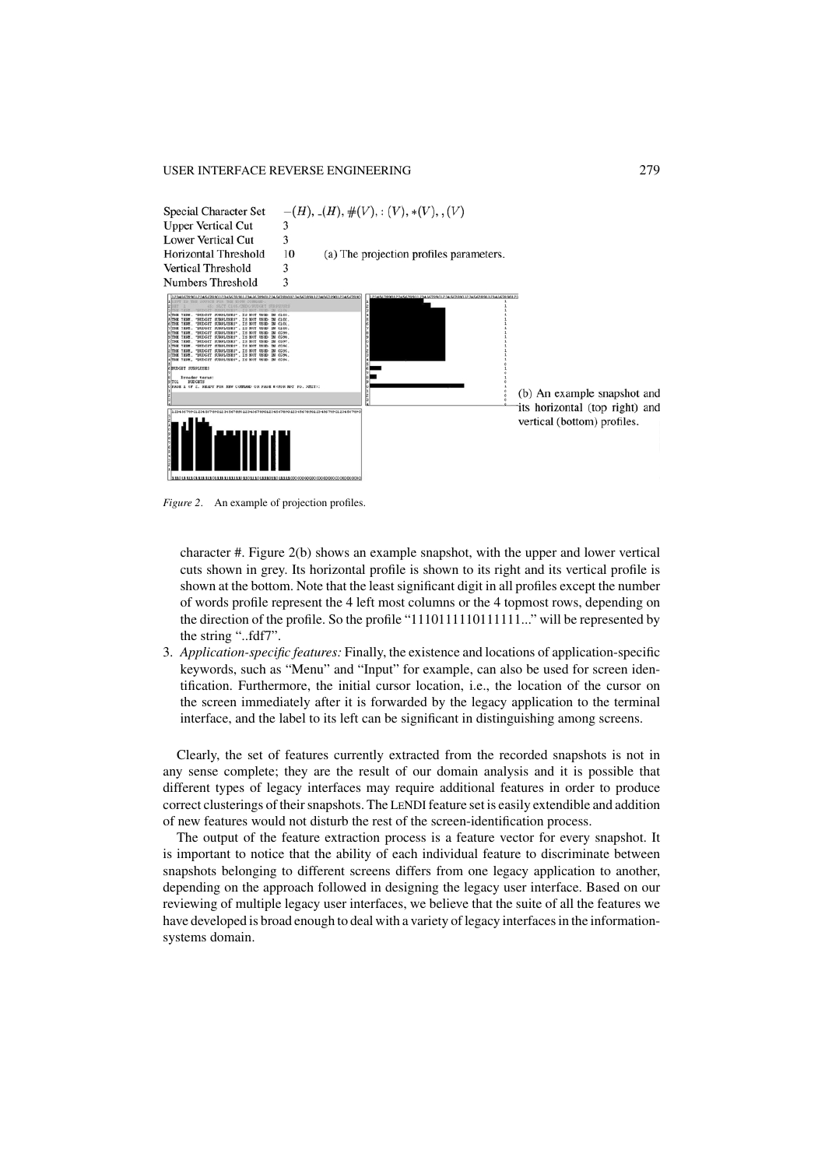

*Figure 2*. An example of projection profiles.

character #. Figure 2(b) shows an example snapshot, with the upper and lower vertical cuts shown in grey. Its horizontal profile is shown to its right and its vertical profile is shown at the bottom. Note that the least significant digit in all profiles except the number of words profile represent the 4 left most columns or the 4 topmost rows, depending on the direction of the profile. So the profile "1110111110111111..." will be represented by the string "..fdf7".

3. *Application-specific features:* Finally, the existence and locations of application-specific keywords, such as "Menu" and "Input" for example, can also be used for screen identification. Furthermore, the initial cursor location, i.e., the location of the cursor on the screen immediately after it is forwarded by the legacy application to the terminal interface, and the label to its left can be significant in distinguishing among screens.

Clearly, the set of features currently extracted from the recorded snapshots is not in any sense complete; they are the result of our domain analysis and it is possible that different types of legacy interfaces may require additional features in order to produce correct clusterings of their snapshots. The LENDI feature set is easily extendible and addition of new features would not disturb the rest of the screen-identification process.

The output of the feature extraction process is a feature vector for every snapshot. It is important to notice that the ability of each individual feature to discriminate between snapshots belonging to different screens differs from one legacy application to another, depending on the approach followed in designing the legacy user interface. Based on our reviewing of multiple legacy user interfaces, we believe that the suite of all the features we have developed is broad enough to deal with a variety of legacy interfaces in the informationsystems domain.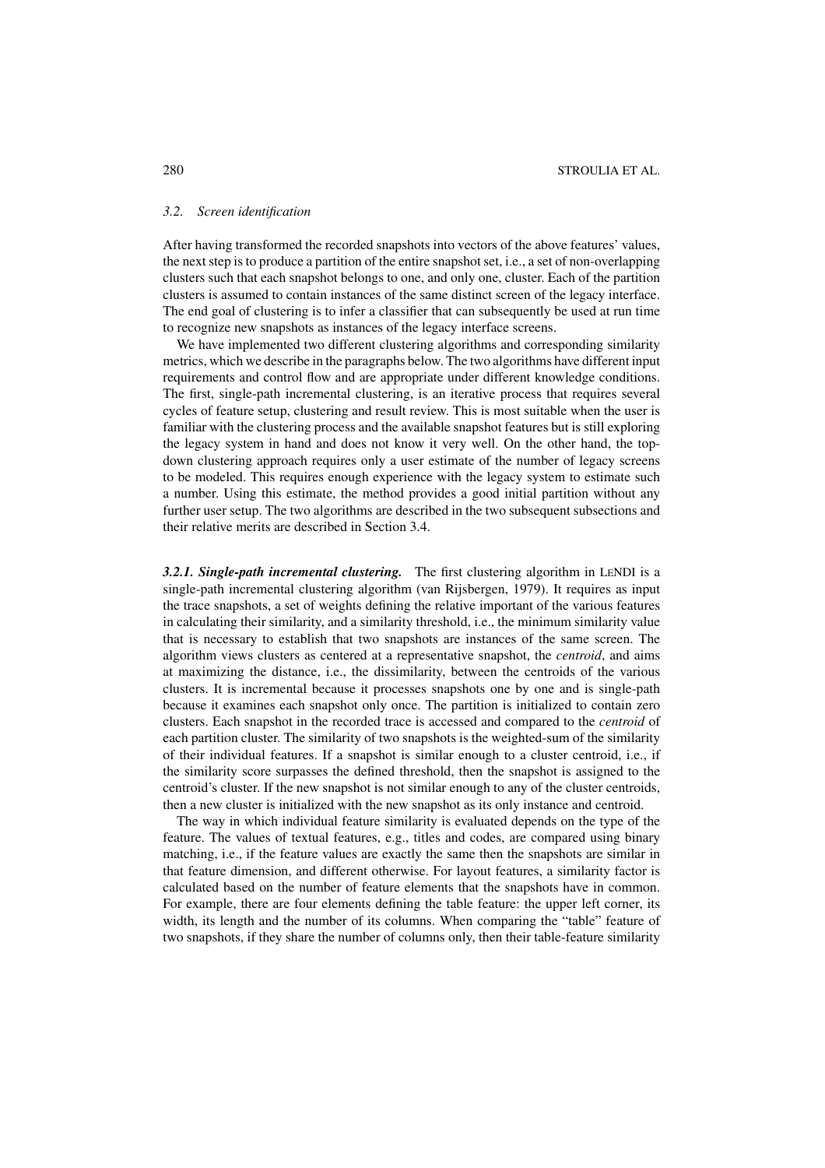### *3.2. Screen identification*

After having transformed the recorded snapshots into vectors of the above features' values, the next step is to produce a partition of the entire snapshot set, i.e., a set of non-overlapping clusters such that each snapshot belongs to one, and only one, cluster. Each of the partition clusters is assumed to contain instances of the same distinct screen of the legacy interface. The end goal of clustering is to infer a classifier that can subsequently be used at run time to recognize new snapshots as instances of the legacy interface screens.

We have implemented two different clustering algorithms and corresponding similarity metrics, which we describe in the paragraphs below. The two algorithms have different input requirements and control flow and are appropriate under different knowledge conditions. The first, single-path incremental clustering, is an iterative process that requires several cycles of feature setup, clustering and result review. This is most suitable when the user is familiar with the clustering process and the available snapshot features but is still exploring the legacy system in hand and does not know it very well. On the other hand, the topdown clustering approach requires only a user estimate of the number of legacy screens to be modeled. This requires enough experience with the legacy system to estimate such a number. Using this estimate, the method provides a good initial partition without any further user setup. The two algorithms are described in the two subsequent subsections and their relative merits are described in Section 3.4.

*3.2.1. Single-path incremental clustering.* The first clustering algorithm in LENDI is a single-path incremental clustering algorithm (van Rijsbergen, 1979). It requires as input the trace snapshots, a set of weights defining the relative important of the various features in calculating their similarity, and a similarity threshold, i.e., the minimum similarity value that is necessary to establish that two snapshots are instances of the same screen. The algorithm views clusters as centered at a representative snapshot, the *centroid*, and aims at maximizing the distance, i.e., the dissimilarity, between the centroids of the various clusters. It is incremental because it processes snapshots one by one and is single-path because it examines each snapshot only once. The partition is initialized to contain zero clusters. Each snapshot in the recorded trace is accessed and compared to the *centroid* of each partition cluster. The similarity of two snapshots is the weighted-sum of the similarity of their individual features. If a snapshot is similar enough to a cluster centroid, i.e., if the similarity score surpasses the defined threshold, then the snapshot is assigned to the centroid's cluster. If the new snapshot is not similar enough to any of the cluster centroids, then a new cluster is initialized with the new snapshot as its only instance and centroid.

The way in which individual feature similarity is evaluated depends on the type of the feature. The values of textual features, e.g., titles and codes, are compared using binary matching, i.e., if the feature values are exactly the same then the snapshots are similar in that feature dimension, and different otherwise. For layout features, a similarity factor is calculated based on the number of feature elements that the snapshots have in common. For example, there are four elements defining the table feature: the upper left corner, its width, its length and the number of its columns. When comparing the "table" feature of two snapshots, if they share the number of columns only, then their table-feature similarity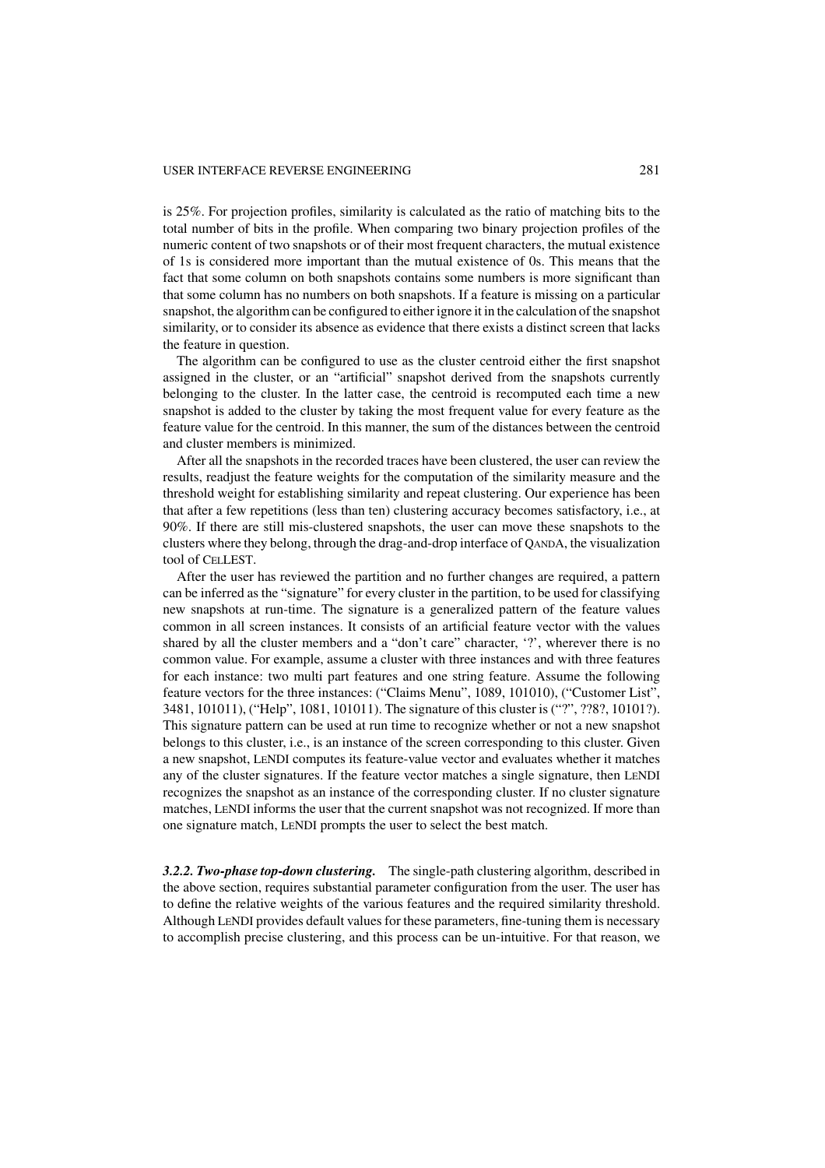is 25%. For projection profiles, similarity is calculated as the ratio of matching bits to the total number of bits in the profile. When comparing two binary projection profiles of the numeric content of two snapshots or of their most frequent characters, the mutual existence of 1s is considered more important than the mutual existence of 0s. This means that the fact that some column on both snapshots contains some numbers is more significant than that some column has no numbers on both snapshots. If a feature is missing on a particular snapshot, the algorithm can be configured to either ignore it in the calculation of the snapshot similarity, or to consider its absence as evidence that there exists a distinct screen that lacks the feature in question.

The algorithm can be configured to use as the cluster centroid either the first snapshot assigned in the cluster, or an "artificial" snapshot derived from the snapshots currently belonging to the cluster. In the latter case, the centroid is recomputed each time a new snapshot is added to the cluster by taking the most frequent value for every feature as the feature value for the centroid. In this manner, the sum of the distances between the centroid and cluster members is minimized.

After all the snapshots in the recorded traces have been clustered, the user can review the results, readjust the feature weights for the computation of the similarity measure and the threshold weight for establishing similarity and repeat clustering. Our experience has been that after a few repetitions (less than ten) clustering accuracy becomes satisfactory, i.e., at 90%. If there are still mis-clustered snapshots, the user can move these snapshots to the clusters where they belong, through the drag-and-drop interface of QANDA, the visualization tool of CELLEST.

After the user has reviewed the partition and no further changes are required, a pattern can be inferred as the "signature" for every cluster in the partition, to be used for classifying new snapshots at run-time. The signature is a generalized pattern of the feature values common in all screen instances. It consists of an artificial feature vector with the values shared by all the cluster members and a "don't care" character, '?', wherever there is no common value. For example, assume a cluster with three instances and with three features for each instance: two multi part features and one string feature. Assume the following feature vectors for the three instances: ("Claims Menu", 1089, 101010), ("Customer List", 3481, 101011), ("Help", 1081, 101011). The signature of this cluster is ("?", ??8?, 10101?). This signature pattern can be used at run time to recognize whether or not a new snapshot belongs to this cluster, i.e., is an instance of the screen corresponding to this cluster. Given a new snapshot, LENDI computes its feature-value vector and evaluates whether it matches any of the cluster signatures. If the feature vector matches a single signature, then LENDI recognizes the snapshot as an instance of the corresponding cluster. If no cluster signature matches, LENDI informs the user that the current snapshot was not recognized. If more than one signature match, LENDI prompts the user to select the best match.

*3.2.2. Two-phase top-down clustering.* The single-path clustering algorithm, described in the above section, requires substantial parameter configuration from the user. The user has to define the relative weights of the various features and the required similarity threshold. Although LENDI provides default values for these parameters, fine-tuning them is necessary to accomplish precise clustering, and this process can be un-intuitive. For that reason, we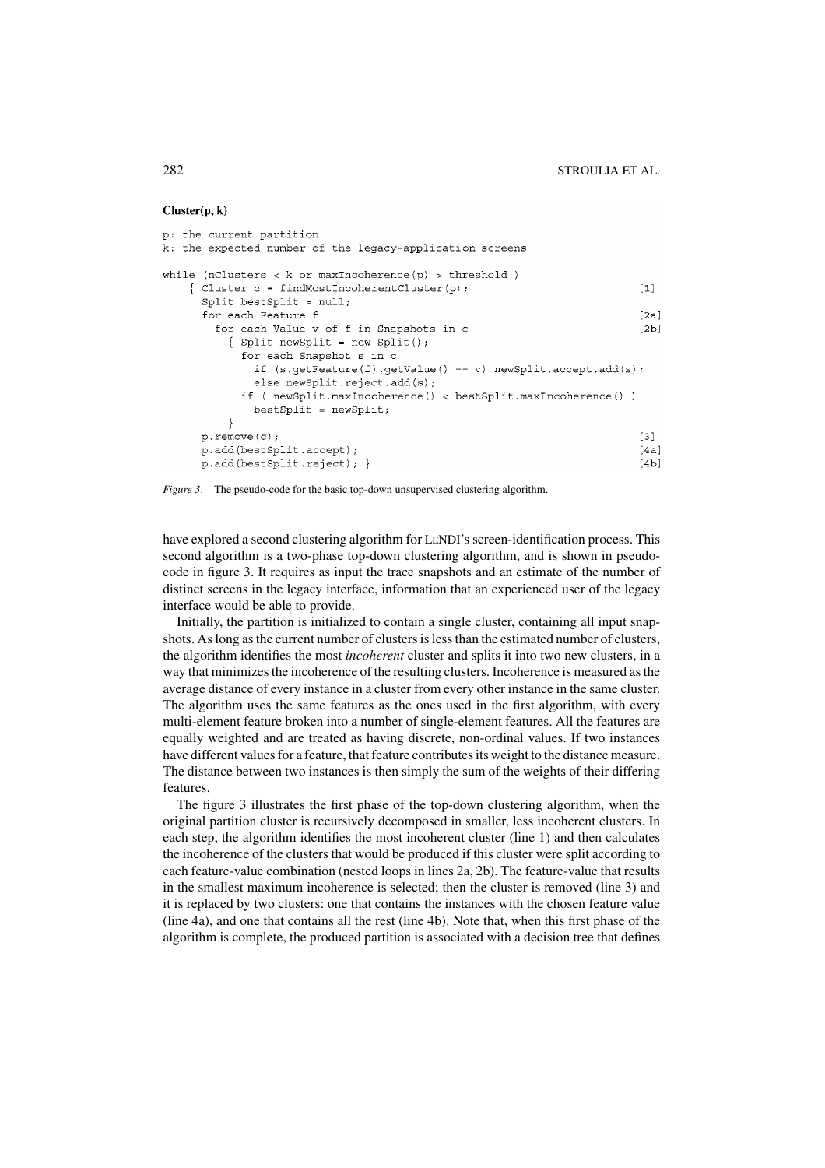#### $Cluster(p, k)$

```
p: the current partition
k: the expected number of the legacy-application screens
while (nClusters < k or maxIncoherence(p) > threshold )
    { Cluster c = findMostIncoherentCluster(p);
                                                                            111Split bestSplit = null;for each Feature f
                                                                             12a1for each Value v of f in Snapshots in c
                                                                            [2h]{ Split newSplit = new Split();
            for each Snapshot s in c
              if (s.getFeature(f).getValue() == v) newSplit accept.add(s);else newSplit.reject.add(s):
            if ( newSplit.maxIncoherence() < bestSplit.maxIncoherence() )
              bestSplit = newSplit;\overline{\phantom{a}}p. remove(c);
                                                                            [3]p.add(bestSplit.accept);
                                                                            [4a]p.add(bestSplit.reject);}
                                                                            [4b]
```


have explored a second clustering algorithm for LENDI's screen-identification process. This second algorithm is a two-phase top-down clustering algorithm, and is shown in pseudocode in figure 3. It requires as input the trace snapshots and an estimate of the number of distinct screens in the legacy interface, information that an experienced user of the legacy interface would be able to provide.

Initially, the partition is initialized to contain a single cluster, containing all input snapshots. As long as the current number of clusters is less than the estimated number of clusters, the algorithm identifies the most *incoherent* cluster and splits it into two new clusters, in a way that minimizes the incoherence of the resulting clusters. Incoherence is measured as the average distance of every instance in a cluster from every other instance in the same cluster. The algorithm uses the same features as the ones used in the first algorithm, with every multi-element feature broken into a number of single-element features. All the features are equally weighted and are treated as having discrete, non-ordinal values. If two instances have different values for a feature, that feature contributes its weight to the distance measure. The distance between two instances is then simply the sum of the weights of their differing features.

The figure 3 illustrates the first phase of the top-down clustering algorithm, when the original partition cluster is recursively decomposed in smaller, less incoherent clusters. In each step, the algorithm identifies the most incoherent cluster (line 1) and then calculates the incoherence of the clusters that would be produced if this cluster were split according to each feature-value combination (nested loops in lines 2a, 2b). The feature-value that results in the smallest maximum incoherence is selected; then the cluster is removed (line 3) and it is replaced by two clusters: one that contains the instances with the chosen feature value (line 4a), and one that contains all the rest (line 4b). Note that, when this first phase of the algorithm is complete, the produced partition is associated with a decision tree that defines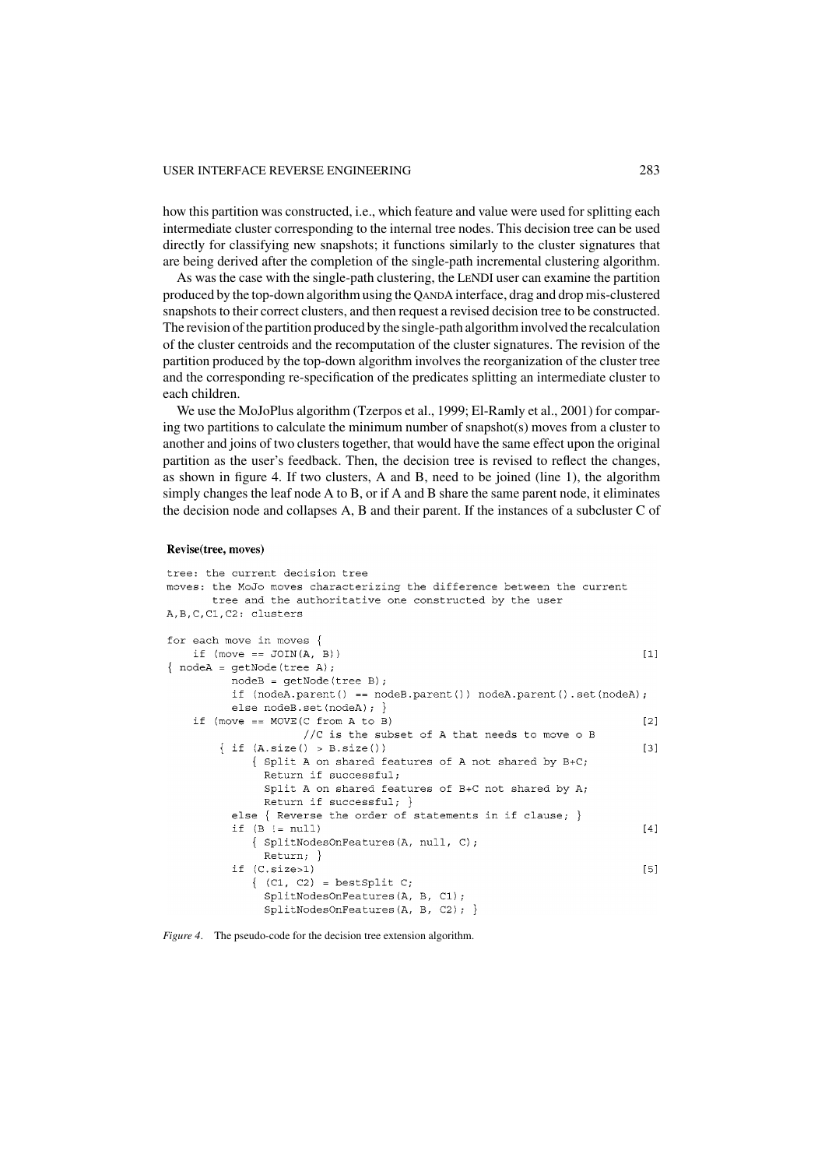how this partition was constructed, i.e., which feature and value were used for splitting each intermediate cluster corresponding to the internal tree nodes. This decision tree can be used directly for classifying new snapshots; it functions similarly to the cluster signatures that are being derived after the completion of the single-path incremental clustering algorithm.

As was the case with the single-path clustering, the LENDI user can examine the partition produced by the top-down algorithm using the QANDA interface, drag and drop mis-clustered snapshots to their correct clusters, and then request a revised decision tree to be constructed. The revision of the partition produced by the single-path algorithm involved the recalculation of the cluster centroids and the recomputation of the cluster signatures. The revision of the partition produced by the top-down algorithm involves the reorganization of the cluster tree and the corresponding re-specification of the predicates splitting an intermediate cluster to each children.

We use the MoJoPlus algorithm (Tzerpos et al., 1999; El-Ramly et al., 2001) for comparing two partitions to calculate the minimum number of snapshot(s) moves from a cluster to another and joins of two clusters together, that would have the same effect upon the original partition as the user's feedback. Then, the decision tree is revised to reflect the changes, as shown in figure 4. If two clusters, A and B, need to be joined (line 1), the algorithm simply changes the leaf node A to B, or if A and B share the same parent node, it eliminates the decision node and collapses A, B and their parent. If the instances of a subcluster C of

#### Revise(tree, moves)

```
tree: the current decision tree
moves: the MoJo moves characterizing the difference between the current
       tree and the authoritative one constructed by the user
A, B, C, C1, C2: clusters
for each move in moves {
    if (move == JOIN(A, B))[1]\{ nodeA = getNode(tree A);nodeB = getNode(tree B);if (nodeA.parent() == nodeB.parent()) nodeA.parent() . set(nodeA);else nodeB.set(nodeA); }
    if (move == MOWE(C from A to B)[2]//C is the subset of A that needs to move o B
        \{ if (A.size() > B.size())[3]{ Split A on shared features of A not shared by B+C;
               Return if successful;
               Split A on shared features of B+C not shared by A;
               Return if successful; }
          else { Reverse the order of statements in if clause; }
          if (B := null)\left[\,4\,\right]{ SplitNodesOnFeatures(A, null, C);
               Return; }
          if (C.size>1)
                                                                           [5]\{ (C1, C2) = bestSplit C;SplitNodesOnFeatures(A, B, C1);
               SplitNodesOnFeatures(A, B, C2);
```
#### *Figure 4*. The pseudo-code for the decision tree extension algorithm.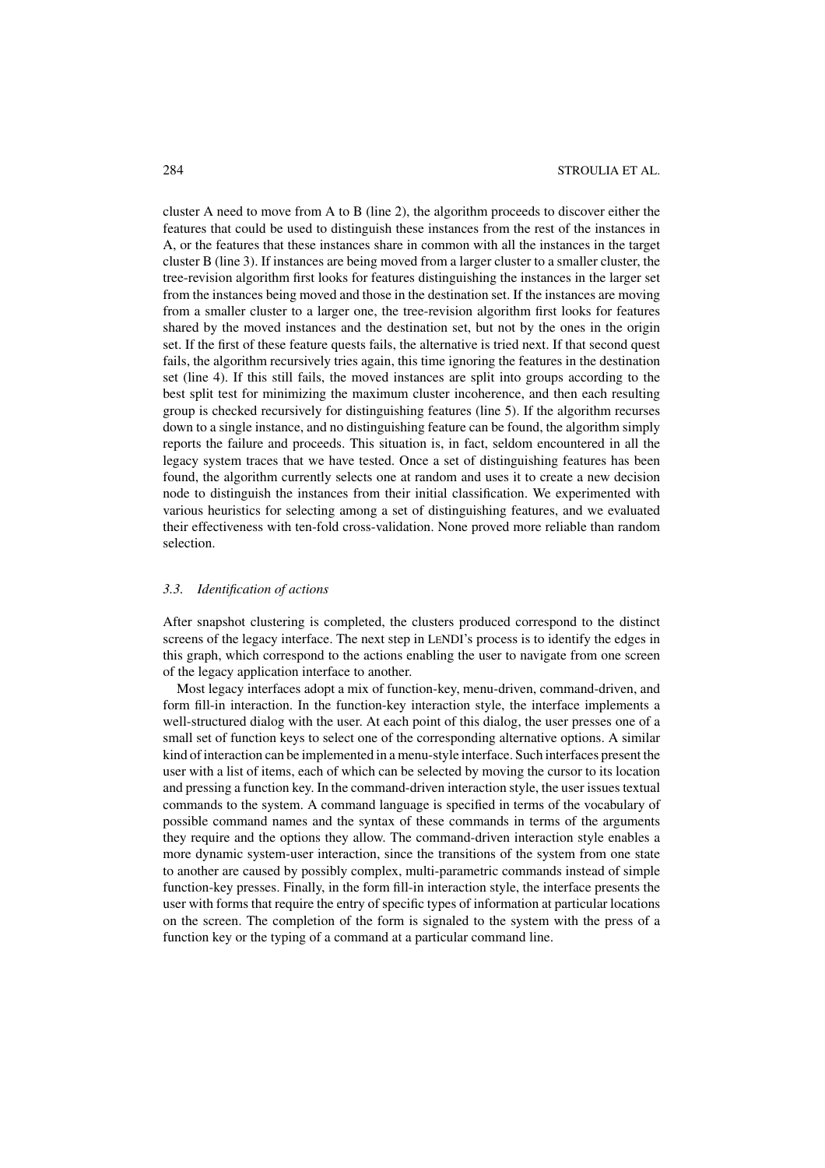cluster A need to move from A to B (line 2), the algorithm proceeds to discover either the features that could be used to distinguish these instances from the rest of the instances in A, or the features that these instances share in common with all the instances in the target cluster B (line 3). If instances are being moved from a larger cluster to a smaller cluster, the tree-revision algorithm first looks for features distinguishing the instances in the larger set from the instances being moved and those in the destination set. If the instances are moving from a smaller cluster to a larger one, the tree-revision algorithm first looks for features shared by the moved instances and the destination set, but not by the ones in the origin set. If the first of these feature quests fails, the alternative is tried next. If that second quest fails, the algorithm recursively tries again, this time ignoring the features in the destination set (line 4). If this still fails, the moved instances are split into groups according to the best split test for minimizing the maximum cluster incoherence, and then each resulting group is checked recursively for distinguishing features (line 5). If the algorithm recurses down to a single instance, and no distinguishing feature can be found, the algorithm simply reports the failure and proceeds. This situation is, in fact, seldom encountered in all the legacy system traces that we have tested. Once a set of distinguishing features has been found, the algorithm currently selects one at random and uses it to create a new decision node to distinguish the instances from their initial classification. We experimented with various heuristics for selecting among a set of distinguishing features, and we evaluated their effectiveness with ten-fold cross-validation. None proved more reliable than random selection.

#### *3.3. Identification of actions*

After snapshot clustering is completed, the clusters produced correspond to the distinct screens of the legacy interface. The next step in LENDI's process is to identify the edges in this graph, which correspond to the actions enabling the user to navigate from one screen of the legacy application interface to another.

Most legacy interfaces adopt a mix of function-key, menu-driven, command-driven, and form fill-in interaction. In the function-key interaction style, the interface implements a well-structured dialog with the user. At each point of this dialog, the user presses one of a small set of function keys to select one of the corresponding alternative options. A similar kind of interaction can be implemented in a menu-style interface. Such interfaces present the user with a list of items, each of which can be selected by moving the cursor to its location and pressing a function key. In the command-driven interaction style, the user issues textual commands to the system. A command language is specified in terms of the vocabulary of possible command names and the syntax of these commands in terms of the arguments they require and the options they allow. The command-driven interaction style enables a more dynamic system-user interaction, since the transitions of the system from one state to another are caused by possibly complex, multi-parametric commands instead of simple function-key presses. Finally, in the form fill-in interaction style, the interface presents the user with forms that require the entry of specific types of information at particular locations on the screen. The completion of the form is signaled to the system with the press of a function key or the typing of a command at a particular command line.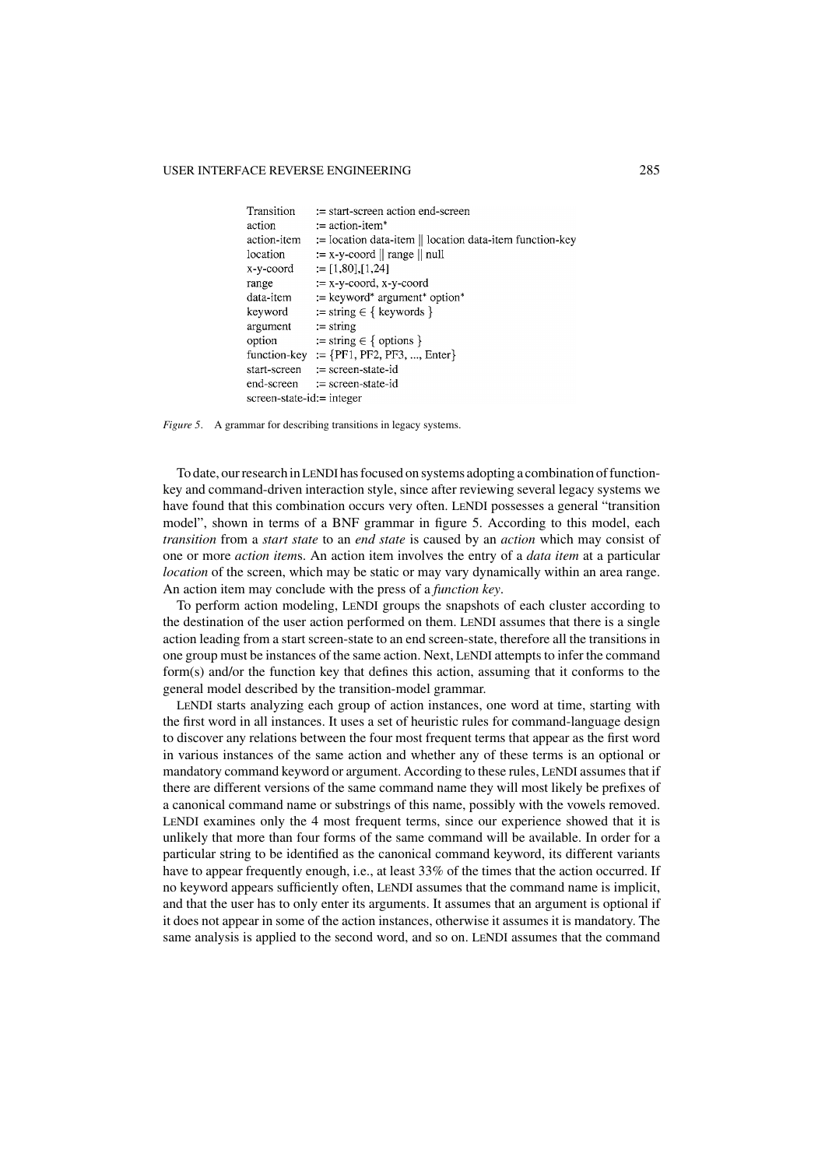| Transition                   | $:=$ start-screen action end-screen                                 |
|------------------------------|---------------------------------------------------------------------|
| action                       | $:=$ action-item*                                                   |
| action-item                  | $:=$ location data-item $\parallel$ location data-item function-key |
| location                     | $:= x-y$ -coord    range    null                                    |
| x-y-coord                    | $:= [1,80]$ , [1,24]                                                |
| range                        | $:= x-y$ -coord, $x-y$ -coord                                       |
| data-item                    | $:=$ keyword* argument* option*                                     |
| keyword                      | := string $\in \{$ keywords $\}$                                    |
| argument                     | $:=$ string                                                         |
| option                       | $:=$ string $\in \{$ options $\}$                                   |
|                              | function-key := $\{PF1, PF2, PF3, , Enter\}$                        |
| start-screen                 | := screen-state-id                                                  |
|                              | $end\leftarrow$ -screen $:=$ screen-state-id                        |
| $screen-state-id$ := integer |                                                                     |

*Figure 5*. A grammar for describing transitions in legacy systems.

To date, our research in LENDI has focused on systems adopting a combination of functionkey and command-driven interaction style, since after reviewing several legacy systems we have found that this combination occurs very often. LENDI possesses a general "transition model", shown in terms of a BNF grammar in figure 5. According to this model, each *transition* from a *start state* to an *end state* is caused by an *action* which may consist of one or more *action item*s. An action item involves the entry of a *data item* at a particular *location* of the screen, which may be static or may vary dynamically within an area range. An action item may conclude with the press of a *function key*.

To perform action modeling, LENDI groups the snapshots of each cluster according to the destination of the user action performed on them. LENDI assumes that there is a single action leading from a start screen-state to an end screen-state, therefore all the transitions in one group must be instances of the same action. Next, LENDI attempts to infer the command form(s) and/or the function key that defines this action, assuming that it conforms to the general model described by the transition-model grammar.

LENDI starts analyzing each group of action instances, one word at time, starting with the first word in all instances. It uses a set of heuristic rules for command-language design to discover any relations between the four most frequent terms that appear as the first word in various instances of the same action and whether any of these terms is an optional or mandatory command keyword or argument. According to these rules, LENDI assumes that if there are different versions of the same command name they will most likely be prefixes of a canonical command name or substrings of this name, possibly with the vowels removed. LENDI examines only the 4 most frequent terms, since our experience showed that it is unlikely that more than four forms of the same command will be available. In order for a particular string to be identified as the canonical command keyword, its different variants have to appear frequently enough, i.e., at least 33% of the times that the action occurred. If no keyword appears sufficiently often, LENDI assumes that the command name is implicit, and that the user has to only enter its arguments. It assumes that an argument is optional if it does not appear in some of the action instances, otherwise it assumes it is mandatory. The same analysis is applied to the second word, and so on. LENDI assumes that the command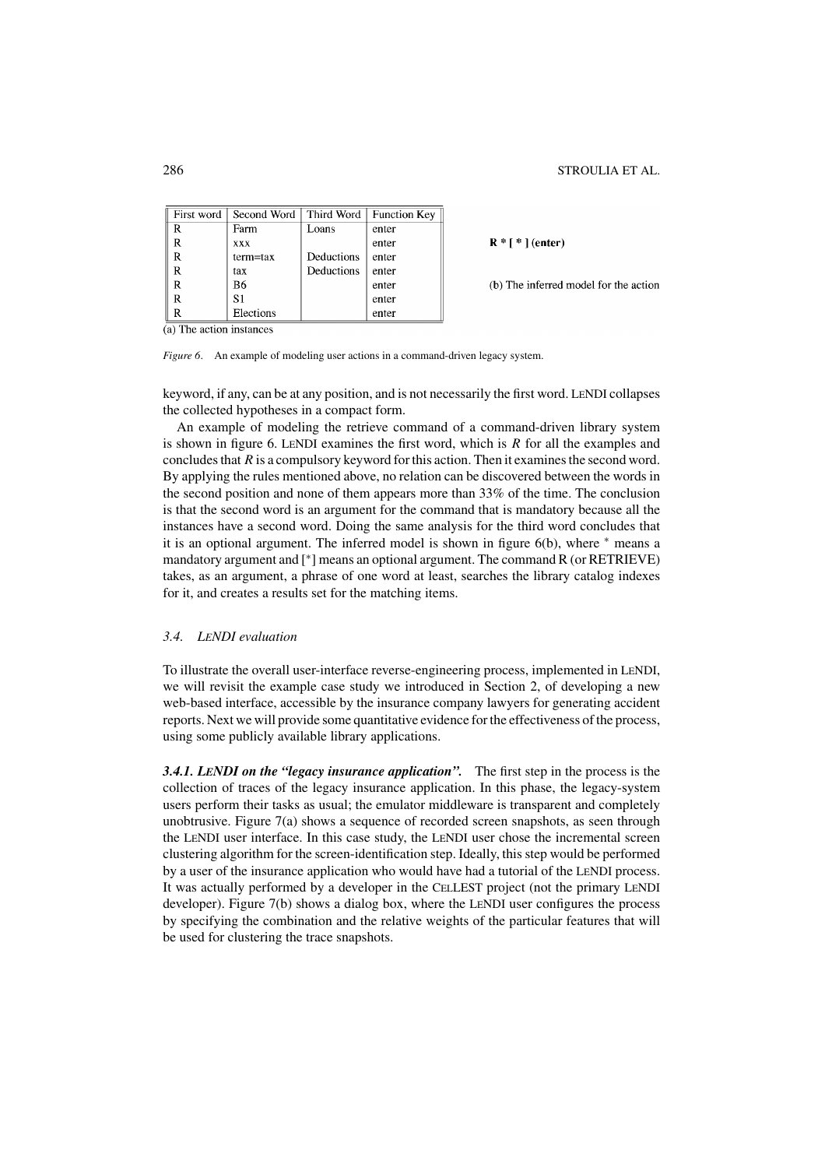| First word | Second Word  | Third Word | <b>Function Key</b> |
|------------|--------------|------------|---------------------|
| R          | Farm         | Loans      | enter               |
| R          | XXX          |            | enter               |
| R.         | $term = tax$ | Deductions | enter               |
| R          | tax          | Deductions | enter               |
| R          | B6           |            | enter               |
| R          | S1           |            | enter               |
| R          | Elections    |            | enter               |

 $R * [ * ] (enter)$ 

(b) The inferred model for the action

 $(a)$  The action instances

*Figure 6*. An example of modeling user actions in a command-driven legacy system.

keyword, if any, can be at any position, and is not necessarily the first word. LENDI collapses the collected hypotheses in a compact form.

An example of modeling the retrieve command of a command-driven library system is shown in figure 6. LENDI examines the first word, which is *R* for all the examples and concludes that *R* is a compulsory keyword for this action. Then it examines the second word. By applying the rules mentioned above, no relation can be discovered between the words in the second position and none of them appears more than 33% of the time. The conclusion is that the second word is an argument for the command that is mandatory because all the instances have a second word. Doing the same analysis for the third word concludes that it is an optional argument. The inferred model is shown in figure 6(b), where <sup>∗</sup> means a mandatory argument and  $[{}^*]$  means an optional argument. The command R (or RETRIEVE) takes, as an argument, a phrase of one word at least, searches the library catalog indexes for it, and creates a results set for the matching items.

#### *3.4. LENDI evaluation*

To illustrate the overall user-interface reverse-engineering process, implemented in LENDI, we will revisit the example case study we introduced in Section 2, of developing a new web-based interface, accessible by the insurance company lawyers for generating accident reports. Next we will provide some quantitative evidence for the effectiveness of the process, using some publicly available library applications.

*3.4.1. LENDI on the "legacy insurance application".* The first step in the process is the collection of traces of the legacy insurance application. In this phase, the legacy-system users perform their tasks as usual; the emulator middleware is transparent and completely unobtrusive. Figure 7(a) shows a sequence of recorded screen snapshots, as seen through the LENDI user interface. In this case study, the LENDI user chose the incremental screen clustering algorithm for the screen-identification step. Ideally, this step would be performed by a user of the insurance application who would have had a tutorial of the LENDI process. It was actually performed by a developer in the CELLEST project (not the primary LENDI developer). Figure 7(b) shows a dialog box, where the LENDI user configures the process by specifying the combination and the relative weights of the particular features that will be used for clustering the trace snapshots.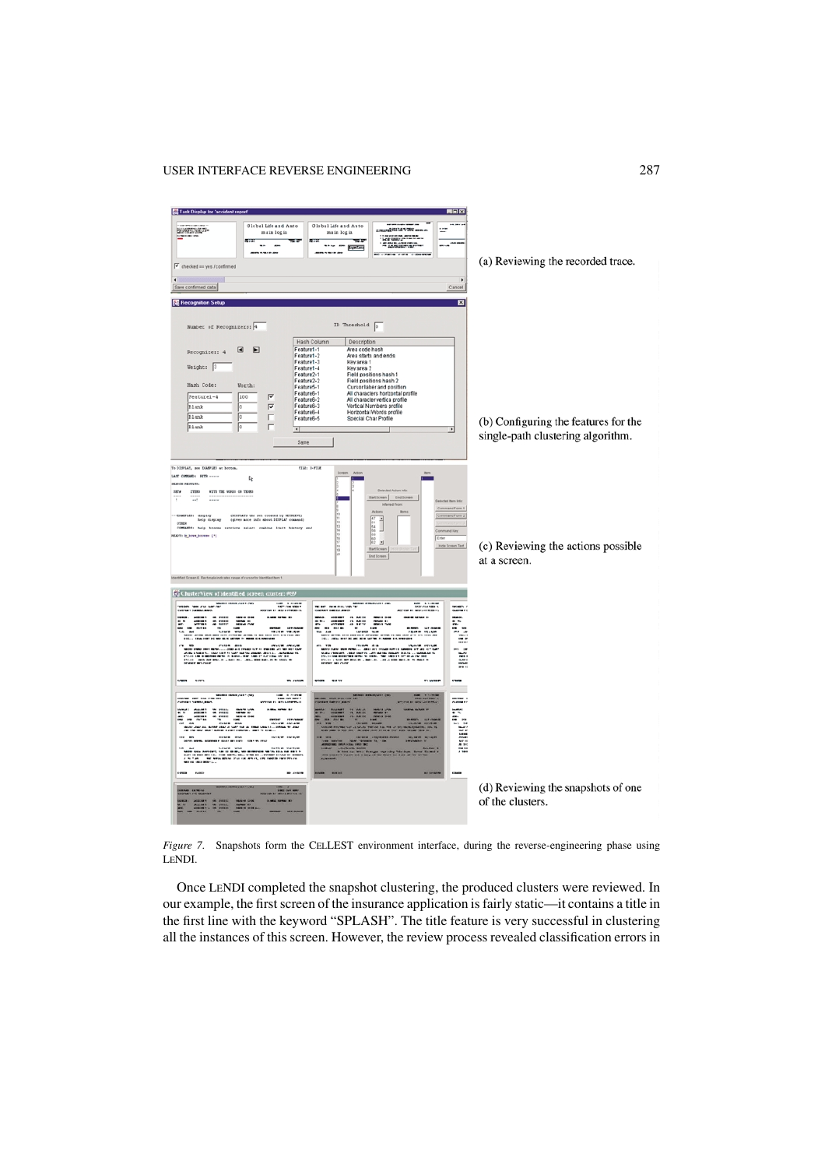

*Figure 7*. Snapshots form the CELLEST environment interface, during the reverse-engineering phase using LENDI.

Once LENDI completed the snapshot clustering, the produced clusters were reviewed. In our example, the first screen of the insurance application is fairly static—it contains a title in the first line with the keyword "SPLASH". The title feature is very successful in clustering all the instances of this screen. However, the review process revealed classification errors in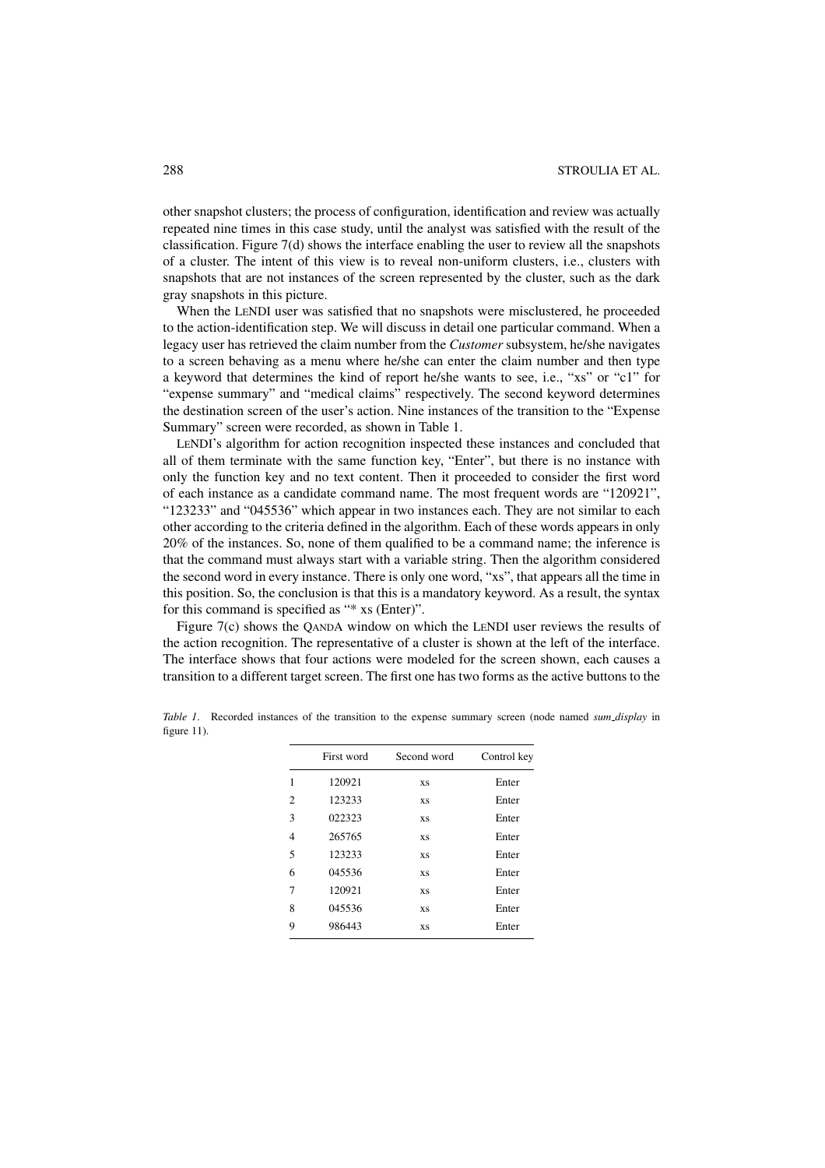other snapshot clusters; the process of configuration, identification and review was actually repeated nine times in this case study, until the analyst was satisfied with the result of the classification. Figure 7(d) shows the interface enabling the user to review all the snapshots of a cluster. The intent of this view is to reveal non-uniform clusters, i.e., clusters with snapshots that are not instances of the screen represented by the cluster, such as the dark gray snapshots in this picture.

When the LENDI user was satisfied that no snapshots were misclustered, he proceeded to the action-identification step. We will discuss in detail one particular command. When a legacy user has retrieved the claim number from the *Customer* subsystem, he/she navigates to a screen behaving as a menu where he/she can enter the claim number and then type a keyword that determines the kind of report he/she wants to see, i.e., "xs" or "c1" for "expense summary" and "medical claims" respectively. The second keyword determines the destination screen of the user's action. Nine instances of the transition to the "Expense Summary" screen were recorded, as shown in Table 1.

LENDI's algorithm for action recognition inspected these instances and concluded that all of them terminate with the same function key, "Enter", but there is no instance with only the function key and no text content. Then it proceeded to consider the first word of each instance as a candidate command name. The most frequent words are "120921", "123233" and "045536" which appear in two instances each. They are not similar to each other according to the criteria defined in the algorithm. Each of these words appears in only 20% of the instances. So, none of them qualified to be a command name; the inference is that the command must always start with a variable string. Then the algorithm considered the second word in every instance. There is only one word, "xs", that appears all the time in this position. So, the conclusion is that this is a mandatory keyword. As a result, the syntax for this command is specified as "\* xs (Enter)".

Figure 7(c) shows the QANDA window on which the LENDI user reviews the results of the action recognition. The representative of a cluster is shown at the left of the interface. The interface shows that four actions were modeled for the screen shown, each causes a transition to a different target screen. The first one has two forms as the active buttons to the

|                | First word | Second word | Control key |
|----------------|------------|-------------|-------------|
| 1              | 120921     | XS          | Enter       |
| 2              | 123233     | XS          | Enter       |
| 3              | 022323     | XS          | Enter       |
| $\overline{4}$ | 265765     | XS          | Enter       |
| 5              | 123233     | XS          | Enter       |
| 6              | 045536     | XS          | Enter       |
| 7              | 120921     | XS          | Enter       |
| 8              | 045536     | XS          | Enter       |
| 9              | 986443     | XS          | Enter       |

*Table 1*. Recorded instances of the transition to the expense summary screen (node named *sum display* in figure 11).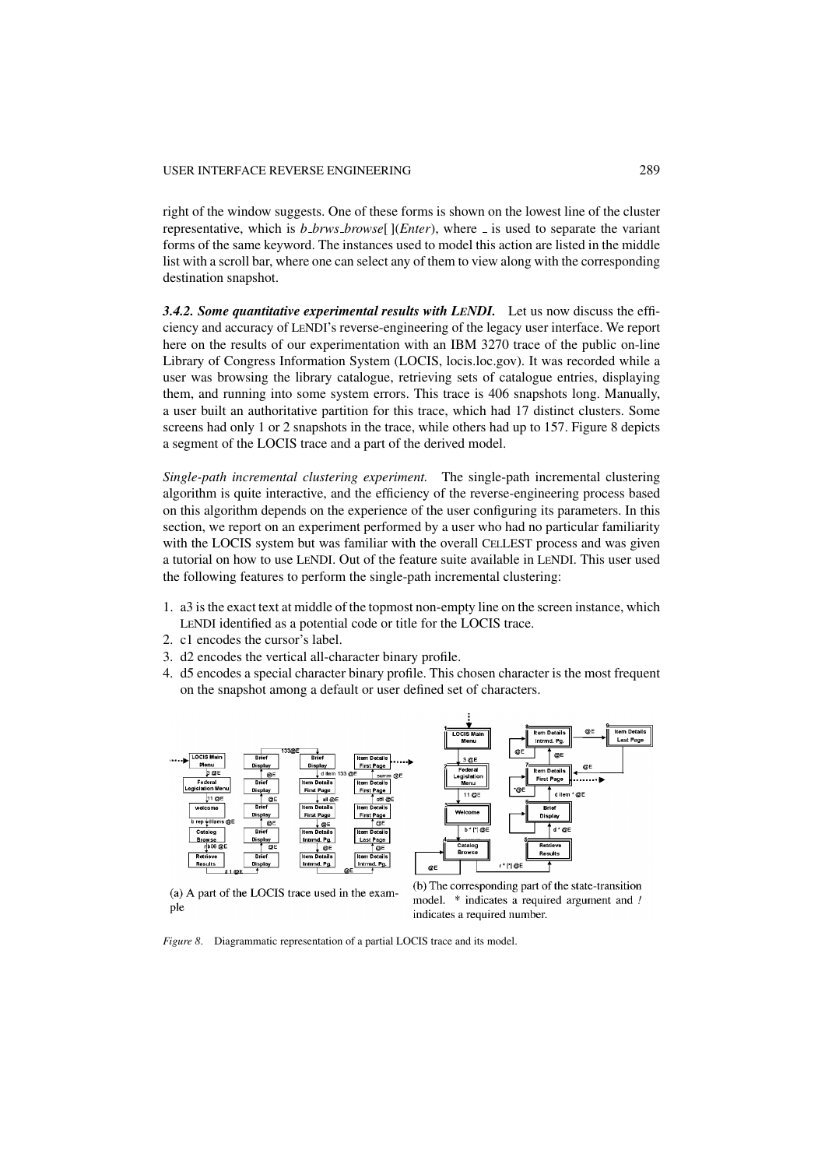right of the window suggests. One of these forms is shown on the lowest line of the cluster representative, which is *b brws browse*[ ](*Enter*), where is used to separate the variant forms of the same keyword. The instances used to model this action are listed in the middle list with a scroll bar, where one can select any of them to view along with the corresponding destination snapshot.

*3.4.2. Some quantitative experimental results with LENDI.* Let us now discuss the efficiency and accuracy of LENDI's reverse-engineering of the legacy user interface. We report here on the results of our experimentation with an IBM 3270 trace of the public on-line Library of Congress Information System (LOCIS, locis.loc.gov). It was recorded while a user was browsing the library catalogue, retrieving sets of catalogue entries, displaying them, and running into some system errors. This trace is 406 snapshots long. Manually, a user built an authoritative partition for this trace, which had 17 distinct clusters. Some screens had only 1 or 2 snapshots in the trace, while others had up to 157. Figure 8 depicts a segment of the LOCIS trace and a part of the derived model.

*Single-path incremental clustering experiment.* The single-path incremental clustering algorithm is quite interactive, and the efficiency of the reverse-engineering process based on this algorithm depends on the experience of the user configuring its parameters. In this section, we report on an experiment performed by a user who had no particular familiarity with the LOCIS system but was familiar with the overall CELLEST process and was given a tutorial on how to use LENDI. Out of the feature suite available in LENDI. This user used the following features to perform the single-path incremental clustering:

- 1. a3 is the exact text at middle of the topmost non-empty line on the screen instance, which LENDI identified as a potential code or title for the LOCIS trace.
- 2. c1 encodes the cursor's label.
- 3. d2 encodes the vertical all-character binary profile.
- 4. d5 encodes a special character binary profile. This chosen character is the most frequent on the snapshot among a default or user defined set of characters.



(a) A part of the LOCIS trace used in the example

(b) The corresponding part of the state-transition model. \* indicates a required argument and ! indicates a required number.

*Figure 8*. Diagrammatic representation of a partial LOCIS trace and its model.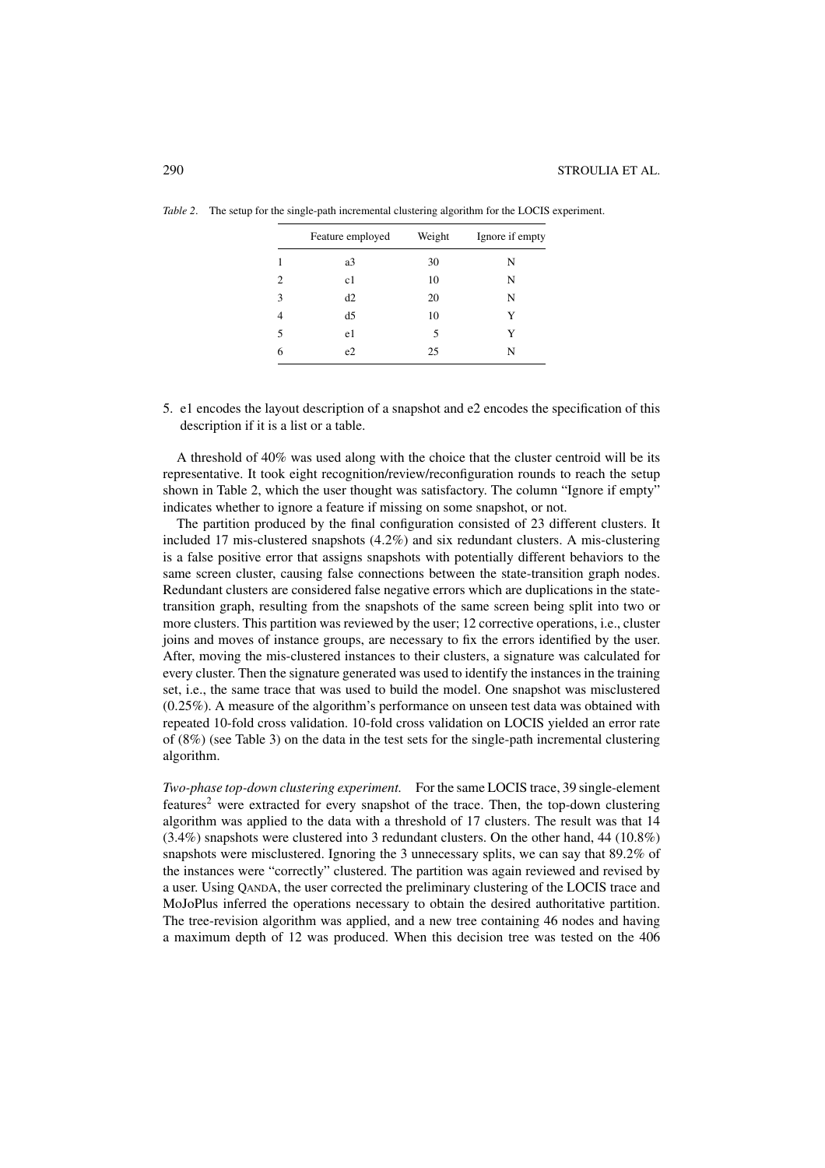|                | Feature employed | Weight | Ignore if empty |
|----------------|------------------|--------|-----------------|
| 1              | a3               | 30     | N               |
| $\overline{c}$ | c1               | 10     | N               |
| 3              | d2               | 20     | N               |
| $\overline{4}$ | d5               | 10     | Y               |
| 5              | e1               | 5      | Y               |
| 6              | e2               | 25     | N               |

*Table 2.* The setup for the single-path incremental clustering algorithm for the LOCIS experiment.

5. e1 encodes the layout description of a snapshot and e2 encodes the specification of this description if it is a list or a table.

A threshold of 40% was used along with the choice that the cluster centroid will be its representative. It took eight recognition/review/reconfiguration rounds to reach the setup shown in Table 2, which the user thought was satisfactory. The column "Ignore if empty" indicates whether to ignore a feature if missing on some snapshot, or not.

The partition produced by the final configuration consisted of 23 different clusters. It included 17 mis-clustered snapshots (4.2%) and six redundant clusters. A mis-clustering is a false positive error that assigns snapshots with potentially different behaviors to the same screen cluster, causing false connections between the state-transition graph nodes. Redundant clusters are considered false negative errors which are duplications in the statetransition graph, resulting from the snapshots of the same screen being split into two or more clusters. This partition was reviewed by the user; 12 corrective operations, i.e., cluster joins and moves of instance groups, are necessary to fix the errors identified by the user. After, moving the mis-clustered instances to their clusters, a signature was calculated for every cluster. Then the signature generated was used to identify the instances in the training set, i.e., the same trace that was used to build the model. One snapshot was misclustered (0.25%). A measure of the algorithm's performance on unseen test data was obtained with repeated 10-fold cross validation. 10-fold cross validation on LOCIS yielded an error rate of (8%) (see Table 3) on the data in the test sets for the single-path incremental clustering algorithm.

*Two-phase top-down clustering experiment.* For the same LOCIS trace, 39 single-element  $features<sup>2</sup>$  were extracted for every snapshot of the trace. Then, the top-down clustering algorithm was applied to the data with a threshold of 17 clusters. The result was that 14 (3.4%) snapshots were clustered into 3 redundant clusters. On the other hand, 44 (10.8%) snapshots were misclustered. Ignoring the 3 unnecessary splits, we can say that 89.2% of the instances were "correctly" clustered. The partition was again reviewed and revised by a user. Using QANDA, the user corrected the preliminary clustering of the LOCIS trace and MoJoPlus inferred the operations necessary to obtain the desired authoritative partition. The tree-revision algorithm was applied, and a new tree containing 46 nodes and having a maximum depth of 12 was produced. When this decision tree was tested on the 406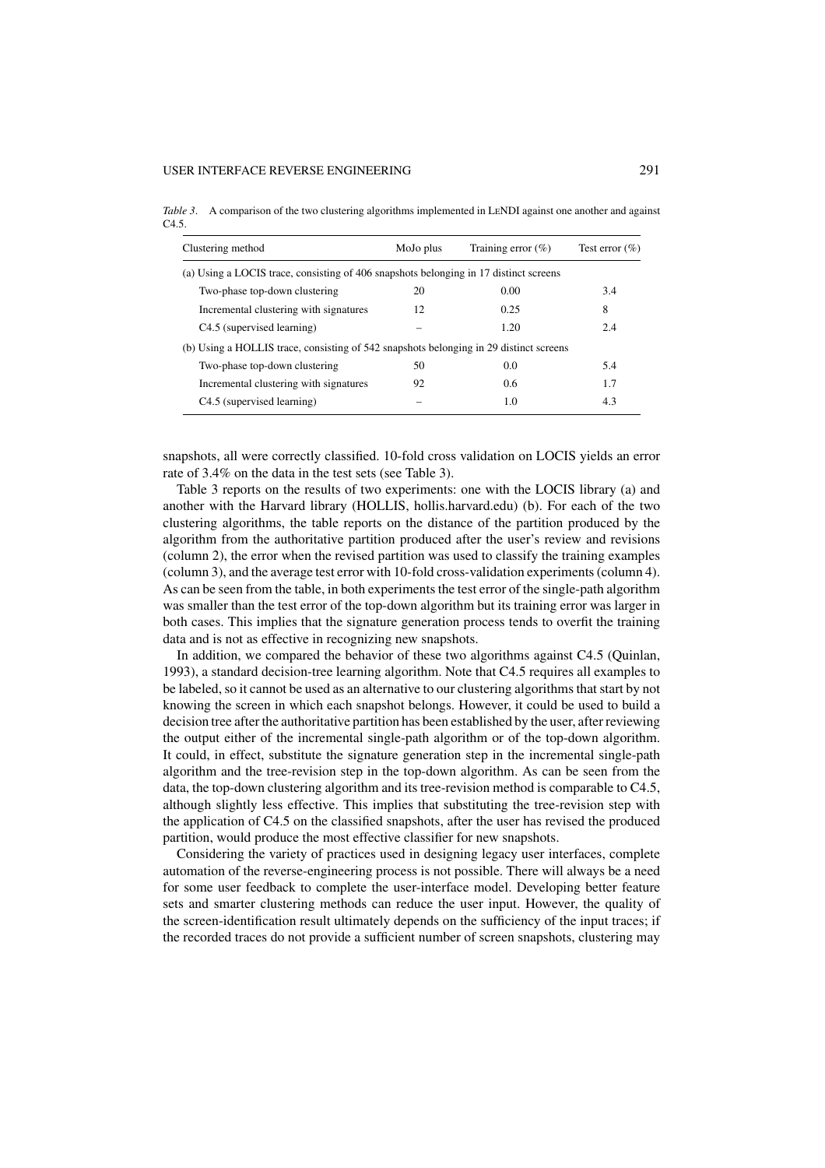*Table 3.* A comparison of the two clustering algorithms implemented in LENDI against one another and against C4.5.

| Clustering method                                                                      | MoJo plus | Training error $(\% )$ | Test error $(\% )$ |  |  |  |
|----------------------------------------------------------------------------------------|-----------|------------------------|--------------------|--|--|--|
| (a) Using a LOCIS trace, consisting of 406 snapshots belonging in 17 distinct screens  |           |                        |                    |  |  |  |
| Two-phase top-down clustering                                                          | 20        | 0.00                   | 3.4                |  |  |  |
| Incremental clustering with signatures                                                 | 12        | 0.25                   | 8                  |  |  |  |
| C4.5 (supervised learning)                                                             |           | 1.20                   | 2.4                |  |  |  |
| (b) Using a HOLLIS trace, consisting of 542 snapshots belonging in 29 distinct screens |           |                        |                    |  |  |  |
| Two-phase top-down clustering                                                          | 50        | 0.0                    | 5.4                |  |  |  |
| Incremental clustering with signatures                                                 | 92        | $0.6^{\circ}$          | 1.7                |  |  |  |
| C <sub>4.5</sub> (supervised learning)                                                 |           | 1.0                    | 4.3                |  |  |  |

snapshots, all were correctly classified. 10-fold cross validation on LOCIS yields an error rate of 3.4% on the data in the test sets (see Table 3).

Table 3 reports on the results of two experiments: one with the LOCIS library (a) and another with the Harvard library (HOLLIS, hollis.harvard.edu) (b). For each of the two clustering algorithms, the table reports on the distance of the partition produced by the algorithm from the authoritative partition produced after the user's review and revisions (column 2), the error when the revised partition was used to classify the training examples (column 3), and the average test error with 10-fold cross-validation experiments (column 4). As can be seen from the table, in both experiments the test error of the single-path algorithm was smaller than the test error of the top-down algorithm but its training error was larger in both cases. This implies that the signature generation process tends to overfit the training data and is not as effective in recognizing new snapshots.

In addition, we compared the behavior of these two algorithms against C4.5 (Quinlan, 1993), a standard decision-tree learning algorithm. Note that C4.5 requires all examples to be labeled, so it cannot be used as an alternative to our clustering algorithms that start by not knowing the screen in which each snapshot belongs. However, it could be used to build a decision tree after the authoritative partition has been established by the user, after reviewing the output either of the incremental single-path algorithm or of the top-down algorithm. It could, in effect, substitute the signature generation step in the incremental single-path algorithm and the tree-revision step in the top-down algorithm. As can be seen from the data, the top-down clustering algorithm and its tree-revision method is comparable to C4.5, although slightly less effective. This implies that substituting the tree-revision step with the application of C4.5 on the classified snapshots, after the user has revised the produced partition, would produce the most effective classifier for new snapshots.

Considering the variety of practices used in designing legacy user interfaces, complete automation of the reverse-engineering process is not possible. There will always be a need for some user feedback to complete the user-interface model. Developing better feature sets and smarter clustering methods can reduce the user input. However, the quality of the screen-identification result ultimately depends on the sufficiency of the input traces; if the recorded traces do not provide a sufficient number of screen snapshots, clustering may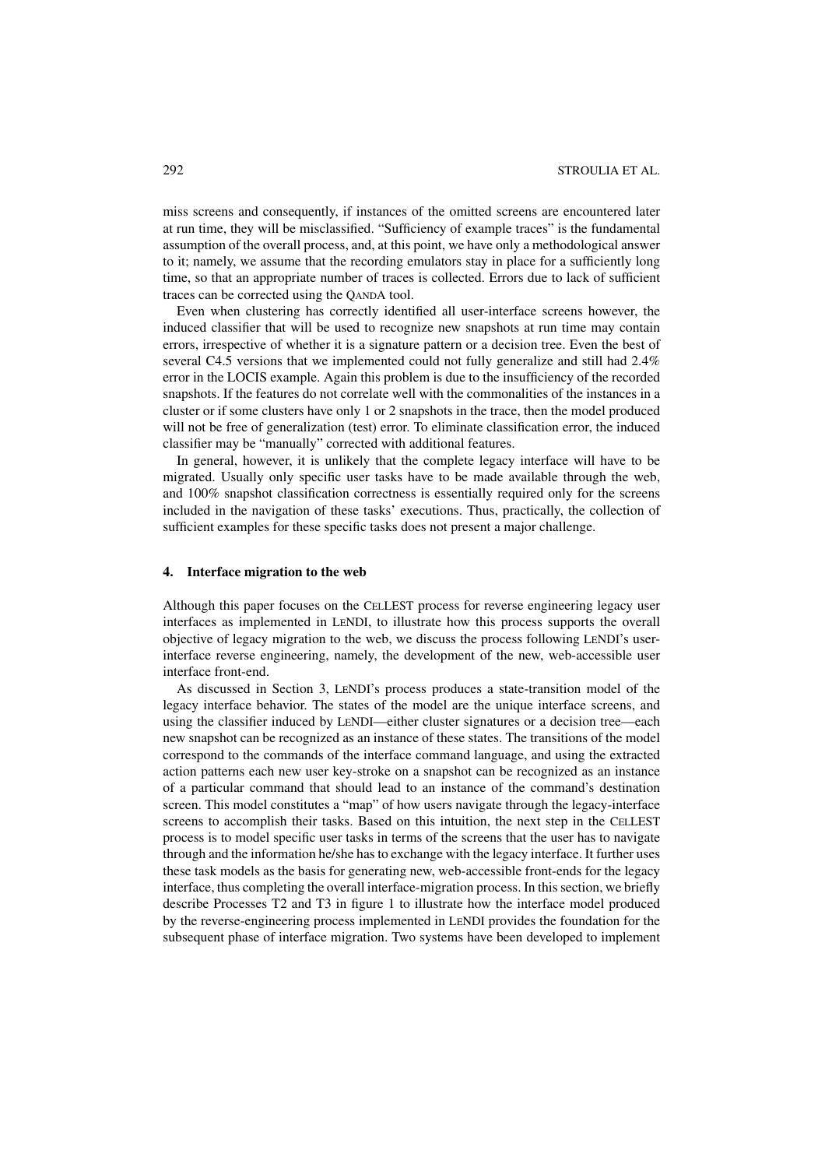miss screens and consequently, if instances of the omitted screens are encountered later at run time, they will be misclassified. "Sufficiency of example traces" is the fundamental assumption of the overall process, and, at this point, we have only a methodological answer to it; namely, we assume that the recording emulators stay in place for a sufficiently long time, so that an appropriate number of traces is collected. Errors due to lack of sufficient traces can be corrected using the QANDA tool.

Even when clustering has correctly identified all user-interface screens however, the induced classifier that will be used to recognize new snapshots at run time may contain errors, irrespective of whether it is a signature pattern or a decision tree. Even the best of several C4.5 versions that we implemented could not fully generalize and still had 2.4% error in the LOCIS example. Again this problem is due to the insufficiency of the recorded snapshots. If the features do not correlate well with the commonalities of the instances in a cluster or if some clusters have only 1 or 2 snapshots in the trace, then the model produced will not be free of generalization (test) error. To eliminate classification error, the induced classifier may be "manually" corrected with additional features.

In general, however, it is unlikely that the complete legacy interface will have to be migrated. Usually only specific user tasks have to be made available through the web, and 100% snapshot classification correctness is essentially required only for the screens included in the navigation of these tasks' executions. Thus, practically, the collection of sufficient examples for these specific tasks does not present a major challenge.

# **4. Interface migration to the web**

Although this paper focuses on the CELLEST process for reverse engineering legacy user interfaces as implemented in LENDI, to illustrate how this process supports the overall objective of legacy migration to the web, we discuss the process following LENDI's userinterface reverse engineering, namely, the development of the new, web-accessible user interface front-end.

As discussed in Section 3, LENDI's process produces a state-transition model of the legacy interface behavior. The states of the model are the unique interface screens, and using the classifier induced by LENDI—either cluster signatures or a decision tree—each new snapshot can be recognized as an instance of these states. The transitions of the model correspond to the commands of the interface command language, and using the extracted action patterns each new user key-stroke on a snapshot can be recognized as an instance of a particular command that should lead to an instance of the command's destination screen. This model constitutes a "map" of how users navigate through the legacy-interface screens to accomplish their tasks. Based on this intuition, the next step in the CELLEST process is to model specific user tasks in terms of the screens that the user has to navigate through and the information he/she has to exchange with the legacy interface. It further uses these task models as the basis for generating new, web-accessible front-ends for the legacy interface, thus completing the overall interface-migration process. In this section, we briefly describe Processes T2 and T3 in figure 1 to illustrate how the interface model produced by the reverse-engineering process implemented in LENDI provides the foundation for the subsequent phase of interface migration. Two systems have been developed to implement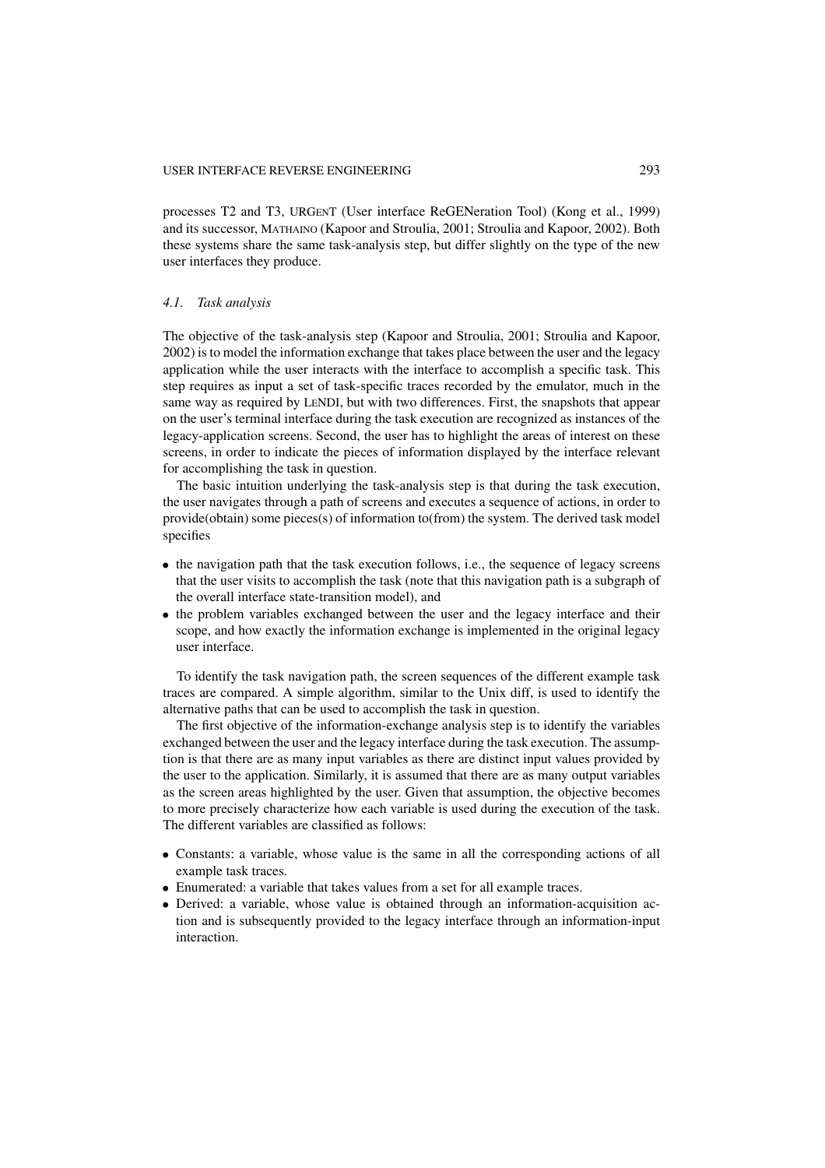processes T2 and T3, URGENT (User interface ReGENeration Tool) (Kong et al., 1999) and its successor, MATHAINO (Kapoor and Stroulia, 2001; Stroulia and Kapoor, 2002). Both these systems share the same task-analysis step, but differ slightly on the type of the new user interfaces they produce.

# *4.1. Task analysis*

The objective of the task-analysis step (Kapoor and Stroulia, 2001; Stroulia and Kapoor, 2002) is to model the information exchange that takes place between the user and the legacy application while the user interacts with the interface to accomplish a specific task. This step requires as input a set of task-specific traces recorded by the emulator, much in the same way as required by LENDI, but with two differences. First, the snapshots that appear on the user's terminal interface during the task execution are recognized as instances of the legacy-application screens. Second, the user has to highlight the areas of interest on these screens, in order to indicate the pieces of information displayed by the interface relevant for accomplishing the task in question.

The basic intuition underlying the task-analysis step is that during the task execution, the user navigates through a path of screens and executes a sequence of actions, in order to provide(obtain) some pieces(s) of information to(from) the system. The derived task model specifies

- the navigation path that the task execution follows, i.e., the sequence of legacy screens that the user visits to accomplish the task (note that this navigation path is a subgraph of the overall interface state-transition model), and
- the problem variables exchanged between the user and the legacy interface and their scope, and how exactly the information exchange is implemented in the original legacy user interface.

To identify the task navigation path, the screen sequences of the different example task traces are compared. A simple algorithm, similar to the Unix diff, is used to identify the alternative paths that can be used to accomplish the task in question.

The first objective of the information-exchange analysis step is to identify the variables exchanged between the user and the legacy interface during the task execution. The assumption is that there are as many input variables as there are distinct input values provided by the user to the application. Similarly, it is assumed that there are as many output variables as the screen areas highlighted by the user. Given that assumption, the objective becomes to more precisely characterize how each variable is used during the execution of the task. The different variables are classified as follows:

- Constants: a variable, whose value is the same in all the corresponding actions of all example task traces.
- Enumerated: a variable that takes values from a set for all example traces.
- Derived: a variable, whose value is obtained through an information-acquisition action and is subsequently provided to the legacy interface through an information-input interaction.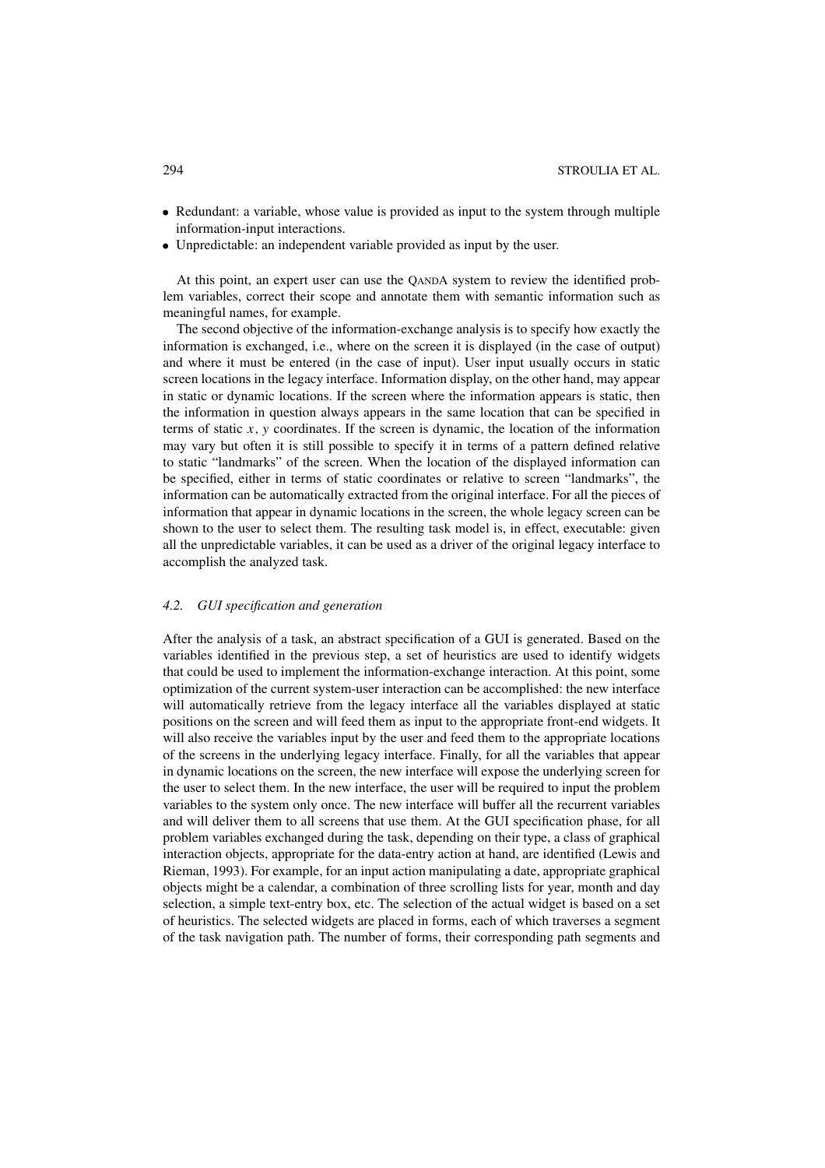- Redundant: a variable, whose value is provided as input to the system through multiple information-input interactions.
- Unpredictable: an independent variable provided as input by the user.

At this point, an expert user can use the QANDA system to review the identified problem variables, correct their scope and annotate them with semantic information such as meaningful names, for example.

The second objective of the information-exchange analysis is to specify how exactly the information is exchanged, i.e., where on the screen it is displayed (in the case of output) and where it must be entered (in the case of input). User input usually occurs in static screen locations in the legacy interface. Information display, on the other hand, may appear in static or dynamic locations. If the screen where the information appears is static, then the information in question always appears in the same location that can be specified in terms of static  $x$ ,  $y$  coordinates. If the screen is dynamic, the location of the information may vary but often it is still possible to specify it in terms of a pattern defined relative to static "landmarks" of the screen. When the location of the displayed information can be specified, either in terms of static coordinates or relative to screen "landmarks", the information can be automatically extracted from the original interface. For all the pieces of information that appear in dynamic locations in the screen, the whole legacy screen can be shown to the user to select them. The resulting task model is, in effect, executable: given all the unpredictable variables, it can be used as a driver of the original legacy interface to accomplish the analyzed task.

# *4.2. GUI specification and generation*

After the analysis of a task, an abstract specification of a GUI is generated. Based on the variables identified in the previous step, a set of heuristics are used to identify widgets that could be used to implement the information-exchange interaction. At this point, some optimization of the current system-user interaction can be accomplished: the new interface will automatically retrieve from the legacy interface all the variables displayed at static positions on the screen and will feed them as input to the appropriate front-end widgets. It will also receive the variables input by the user and feed them to the appropriate locations of the screens in the underlying legacy interface. Finally, for all the variables that appear in dynamic locations on the screen, the new interface will expose the underlying screen for the user to select them. In the new interface, the user will be required to input the problem variables to the system only once. The new interface will buffer all the recurrent variables and will deliver them to all screens that use them. At the GUI specification phase, for all problem variables exchanged during the task, depending on their type, a class of graphical interaction objects, appropriate for the data-entry action at hand, are identified (Lewis and Rieman, 1993). For example, for an input action manipulating a date, appropriate graphical objects might be a calendar, a combination of three scrolling lists for year, month and day selection, a simple text-entry box, etc. The selection of the actual widget is based on a set of heuristics. The selected widgets are placed in forms, each of which traverses a segment of the task navigation path. The number of forms, their corresponding path segments and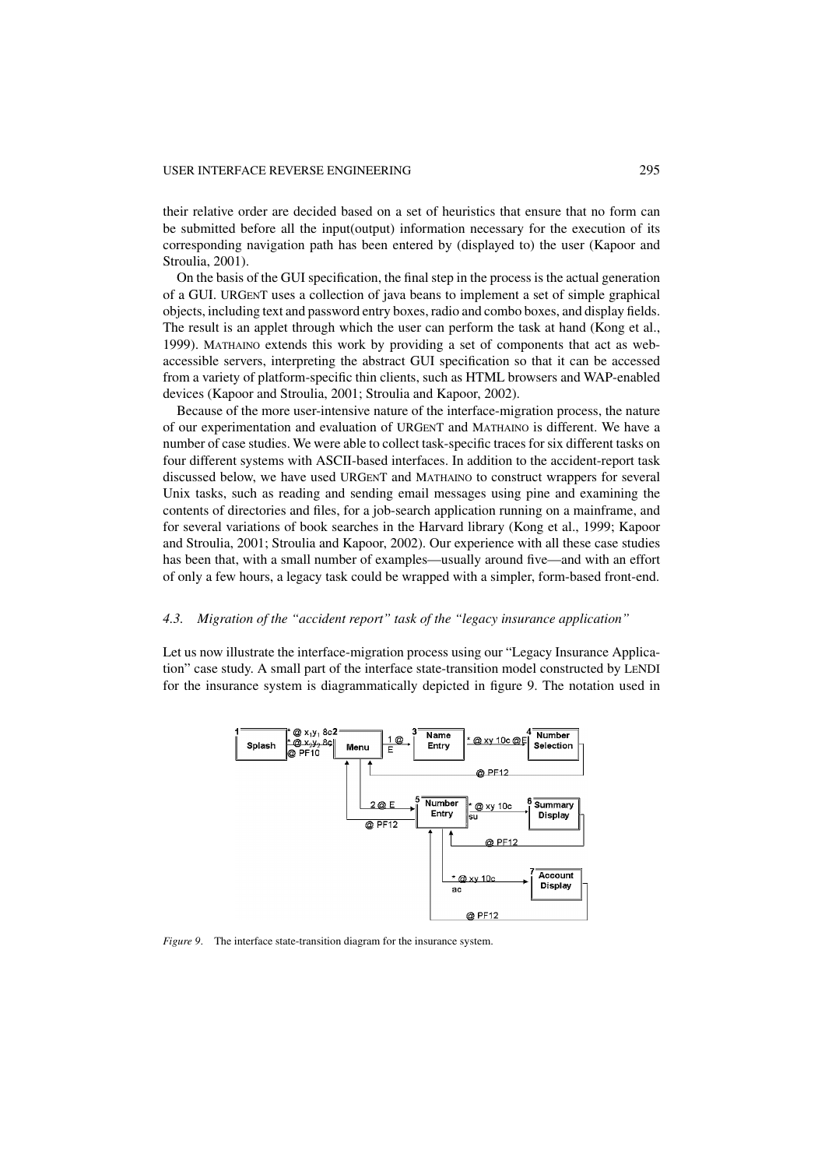their relative order are decided based on a set of heuristics that ensure that no form can be submitted before all the input(output) information necessary for the execution of its corresponding navigation path has been entered by (displayed to) the user (Kapoor and Stroulia, 2001).

On the basis of the GUI specification, the final step in the process is the actual generation of a GUI. URGENT uses a collection of java beans to implement a set of simple graphical objects, including text and password entry boxes, radio and combo boxes, and display fields. The result is an applet through which the user can perform the task at hand (Kong et al., 1999). MATHAINO extends this work by providing a set of components that act as webaccessible servers, interpreting the abstract GUI specification so that it can be accessed from a variety of platform-specific thin clients, such as HTML browsers and WAP-enabled devices (Kapoor and Stroulia, 2001; Stroulia and Kapoor, 2002).

Because of the more user-intensive nature of the interface-migration process, the nature of our experimentation and evaluation of URGENT and MATHAINO is different. We have a number of case studies. We were able to collect task-specific traces for six different tasks on four different systems with ASCII-based interfaces. In addition to the accident-report task discussed below, we have used URGENT and MATHAINO to construct wrappers for several Unix tasks, such as reading and sending email messages using pine and examining the contents of directories and files, for a job-search application running on a mainframe, and for several variations of book searches in the Harvard library (Kong et al., 1999; Kapoor and Stroulia, 2001; Stroulia and Kapoor, 2002). Our experience with all these case studies has been that, with a small number of examples—usually around five—and with an effort of only a few hours, a legacy task could be wrapped with a simpler, form-based front-end.

# *4.3. Migration of the "accident report" task of the "legacy insurance application"*

Let us now illustrate the interface-migration process using our "Legacy Insurance Application" case study. A small part of the interface state-transition model constructed by LENDI for the insurance system is diagrammatically depicted in figure 9. The notation used in



*Figure 9*. The interface state-transition diagram for the insurance system.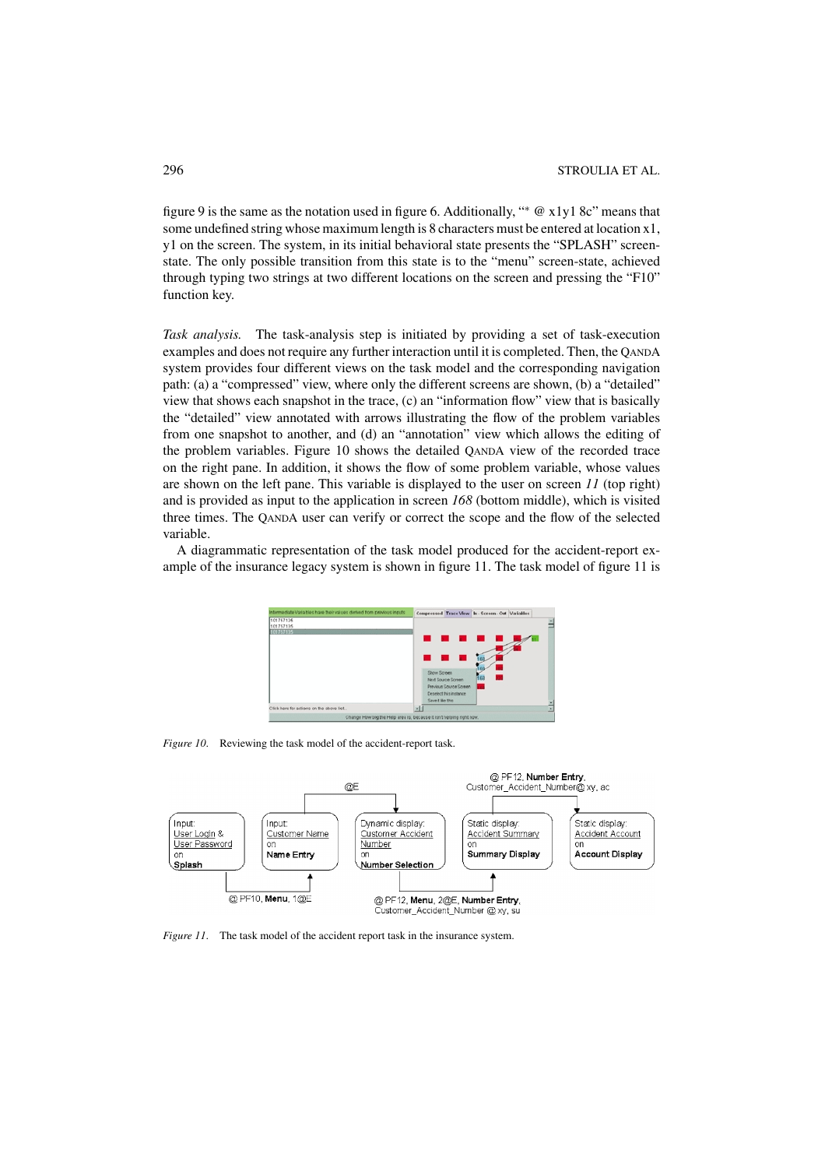figure 9 is the same as the notation used in figure 6. Additionally, "<sup>∗</sup> @ x1y1 8c" means that some undefined string whose maximum length is 8 characters must be entered at location x1, y1 on the screen. The system, in its initial behavioral state presents the "SPLASH" screenstate. The only possible transition from this state is to the "menu" screen-state, achieved through typing two strings at two different locations on the screen and pressing the "F10" function key.

*Task analysis.* The task-analysis step is initiated by providing a set of task-execution examples and does not require any further interaction until it is completed. Then, the QANDA system provides four different views on the task model and the corresponding navigation path: (a) a "compressed" view, where only the different screens are shown, (b) a "detailed" view that shows each snapshot in the trace, (c) an "information flow" view that is basically the "detailed" view annotated with arrows illustrating the flow of the problem variables from one snapshot to another, and (d) an "annotation" view which allows the editing of the problem variables. Figure 10 shows the detailed QANDA view of the recorded trace on the right pane. In addition, it shows the flow of some problem variable, whose values are shown on the left pane. This variable is displayed to the user on screen *11* (top right) and is provided as input to the application in screen *168* (bottom middle), which is visited three times. The QANDA user can verify or correct the scope and the flow of the selected variable.

A diagrammatic representation of the task model produced for the accident-report example of the insurance legacy system is shown in figure 11. The task model of figure 11 is



*Figure 10.* Reviewing the task model of the accident-report task.



*Figure 11.* The task model of the accident report task in the insurance system.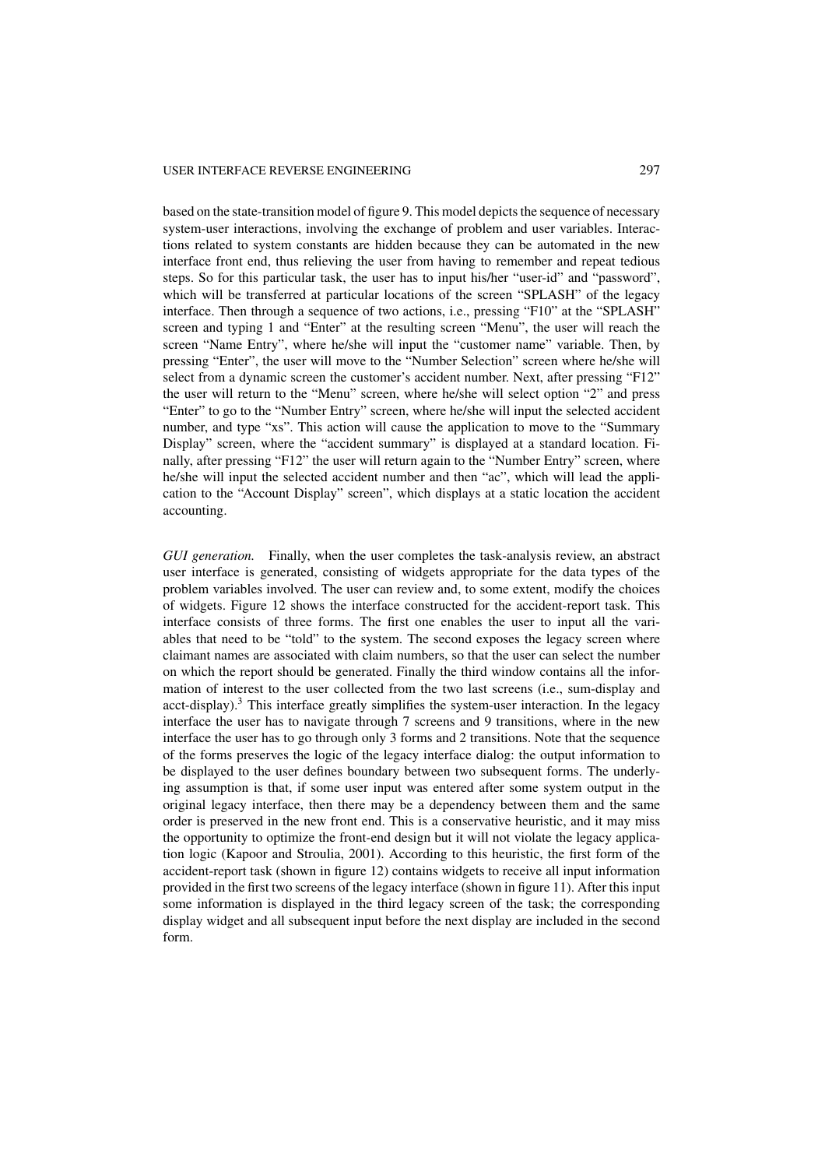based on the state-transition model of figure 9. This model depicts the sequence of necessary system-user interactions, involving the exchange of problem and user variables. Interactions related to system constants are hidden because they can be automated in the new interface front end, thus relieving the user from having to remember and repeat tedious steps. So for this particular task, the user has to input his/her "user-id" and "password", which will be transferred at particular locations of the screen "SPLASH" of the legacy interface. Then through a sequence of two actions, i.e., pressing "F10" at the "SPLASH" screen and typing 1 and "Enter" at the resulting screen "Menu", the user will reach the screen "Name Entry", where he/she will input the "customer name" variable. Then, by pressing "Enter", the user will move to the "Number Selection" screen where he/she will select from a dynamic screen the customer's accident number. Next, after pressing "F12" the user will return to the "Menu" screen, where he/she will select option "2" and press "Enter" to go to the "Number Entry" screen, where he/she will input the selected accident number, and type "xs". This action will cause the application to move to the "Summary Display" screen, where the "accident summary" is displayed at a standard location. Finally, after pressing "F12" the user will return again to the "Number Entry" screen, where he/she will input the selected accident number and then "ac", which will lead the application to the "Account Display" screen", which displays at a static location the accident accounting.

*GUI generation.* Finally, when the user completes the task-analysis review, an abstract user interface is generated, consisting of widgets appropriate for the data types of the problem variables involved. The user can review and, to some extent, modify the choices of widgets. Figure 12 shows the interface constructed for the accident-report task. This interface consists of three forms. The first one enables the user to input all the variables that need to be "told" to the system. The second exposes the legacy screen where claimant names are associated with claim numbers, so that the user can select the number on which the report should be generated. Finally the third window contains all the information of interest to the user collected from the two last screens (i.e., sum-display and acct-display).<sup>3</sup> This interface greatly simplifies the system-user interaction. In the legacy interface the user has to navigate through 7 screens and 9 transitions, where in the new interface the user has to go through only 3 forms and 2 transitions. Note that the sequence of the forms preserves the logic of the legacy interface dialog: the output information to be displayed to the user defines boundary between two subsequent forms. The underlying assumption is that, if some user input was entered after some system output in the original legacy interface, then there may be a dependency between them and the same order is preserved in the new front end. This is a conservative heuristic, and it may miss the opportunity to optimize the front-end design but it will not violate the legacy application logic (Kapoor and Stroulia, 2001). According to this heuristic, the first form of the accident-report task (shown in figure 12) contains widgets to receive all input information provided in the first two screens of the legacy interface (shown in figure 11). After this input some information is displayed in the third legacy screen of the task; the corresponding display widget and all subsequent input before the next display are included in the second form.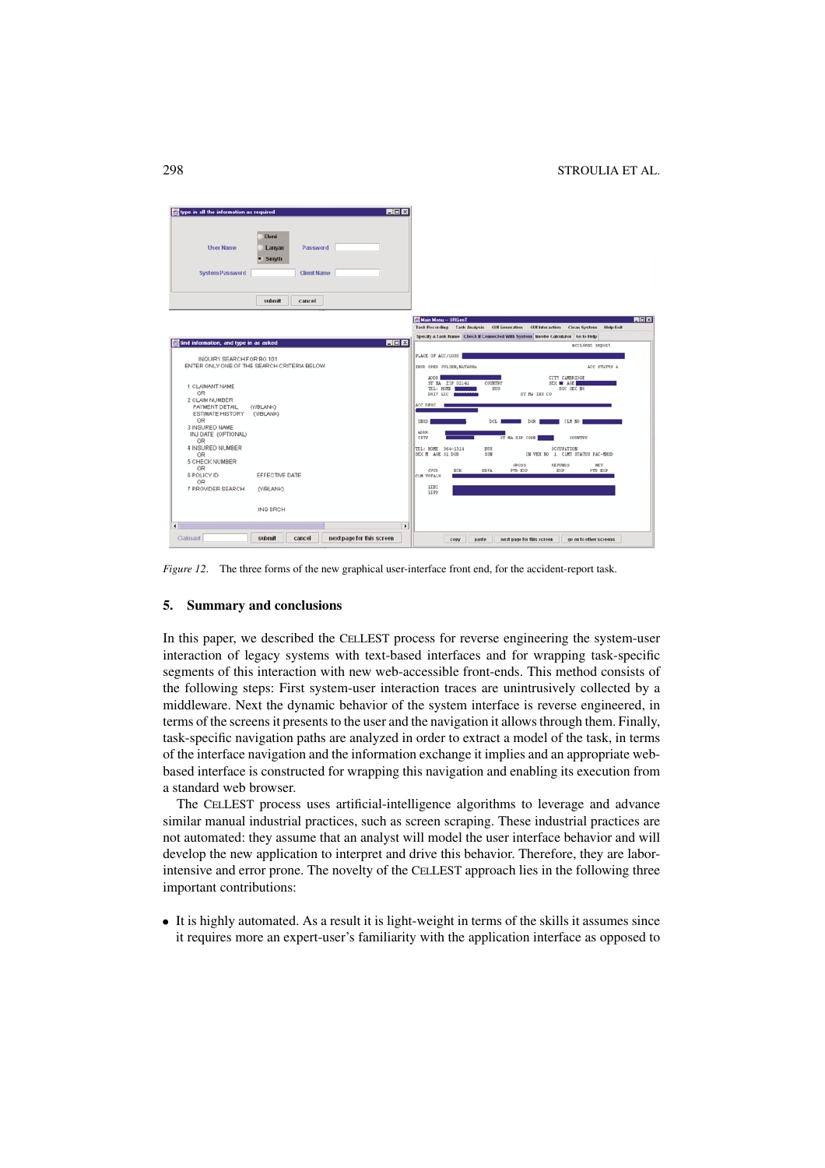

*Figure 12*. The three forms of the new graphical user-interface front end, for the accident-report task.

# **5. Summary and conclusions**

In this paper, we described the CELLEST process for reverse engineering the system-user interaction of legacy systems with text-based interfaces and for wrapping task-specific segments of this interaction with new web-accessible front-ends. This method consists of the following steps: First system-user interaction traces are unintrusively collected by a middleware. Next the dynamic behavior of the system interface is reverse engineered, in terms of the screens it presents to the user and the navigation it allows through them. Finally, task-specific navigation paths are analyzed in order to extract a model of the task, in terms of the interface navigation and the information exchange it implies and an appropriate webbased interface is constructed for wrapping this navigation and enabling its execution from a standard web browser.

The CELLEST process uses artificial-intelligence algorithms to leverage and advance similar manual industrial practices, such as screen scraping. These industrial practices are not automated: they assume that an analyst will model the user interface behavior and will develop the new application to interpret and drive this behavior. Therefore, they are laborintensive and error prone. The novelty of the CELLEST approach lies in the following three important contributions:

• It is highly automated. As a result it is light-weight in terms of the skills it assumes since it requires more an expert-user's familiarity with the application interface as opposed to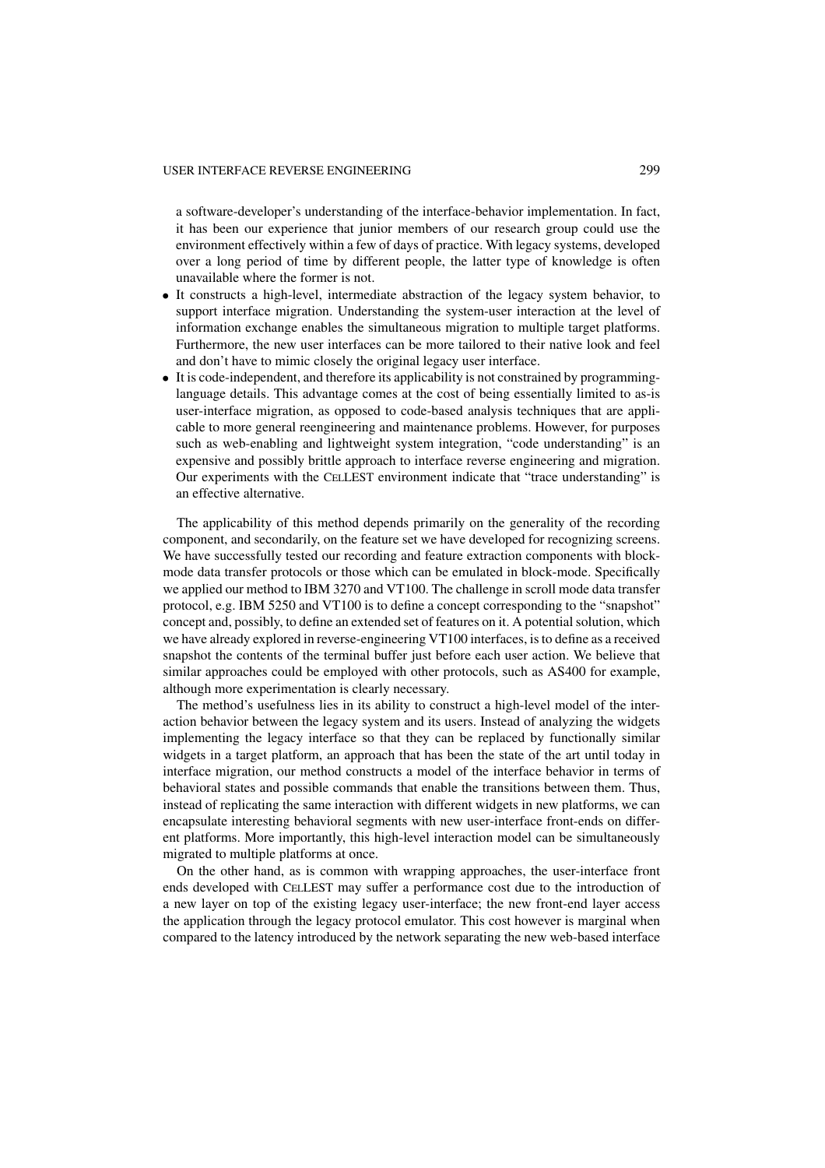a software-developer's understanding of the interface-behavior implementation. In fact, it has been our experience that junior members of our research group could use the environment effectively within a few of days of practice. With legacy systems, developed over a long period of time by different people, the latter type of knowledge is often unavailable where the former is not.

- It constructs a high-level, intermediate abstraction of the legacy system behavior, to support interface migration. Understanding the system-user interaction at the level of information exchange enables the simultaneous migration to multiple target platforms. Furthermore, the new user interfaces can be more tailored to their native look and feel and don't have to mimic closely the original legacy user interface.
- It is code-independent, and therefore its applicability is not constrained by programminglanguage details. This advantage comes at the cost of being essentially limited to as-is user-interface migration, as opposed to code-based analysis techniques that are applicable to more general reengineering and maintenance problems. However, for purposes such as web-enabling and lightweight system integration, "code understanding" is an expensive and possibly brittle approach to interface reverse engineering and migration. Our experiments with the CELLEST environment indicate that "trace understanding" is an effective alternative.

The applicability of this method depends primarily on the generality of the recording component, and secondarily, on the feature set we have developed for recognizing screens. We have successfully tested our recording and feature extraction components with blockmode data transfer protocols or those which can be emulated in block-mode. Specifically we applied our method to IBM 3270 and VT100. The challenge in scroll mode data transfer protocol, e.g. IBM 5250 and VT100 is to define a concept corresponding to the "snapshot" concept and, possibly, to define an extended set of features on it. A potential solution, which we have already explored in reverse-engineering VT100 interfaces, is to define as a received snapshot the contents of the terminal buffer just before each user action. We believe that similar approaches could be employed with other protocols, such as AS400 for example, although more experimentation is clearly necessary.

The method's usefulness lies in its ability to construct a high-level model of the interaction behavior between the legacy system and its users. Instead of analyzing the widgets implementing the legacy interface so that they can be replaced by functionally similar widgets in a target platform, an approach that has been the state of the art until today in interface migration, our method constructs a model of the interface behavior in terms of behavioral states and possible commands that enable the transitions between them. Thus, instead of replicating the same interaction with different widgets in new platforms, we can encapsulate interesting behavioral segments with new user-interface front-ends on different platforms. More importantly, this high-level interaction model can be simultaneously migrated to multiple platforms at once.

On the other hand, as is common with wrapping approaches, the user-interface front ends developed with CELLEST may suffer a performance cost due to the introduction of a new layer on top of the existing legacy user-interface; the new front-end layer access the application through the legacy protocol emulator. This cost however is marginal when compared to the latency introduced by the network separating the new web-based interface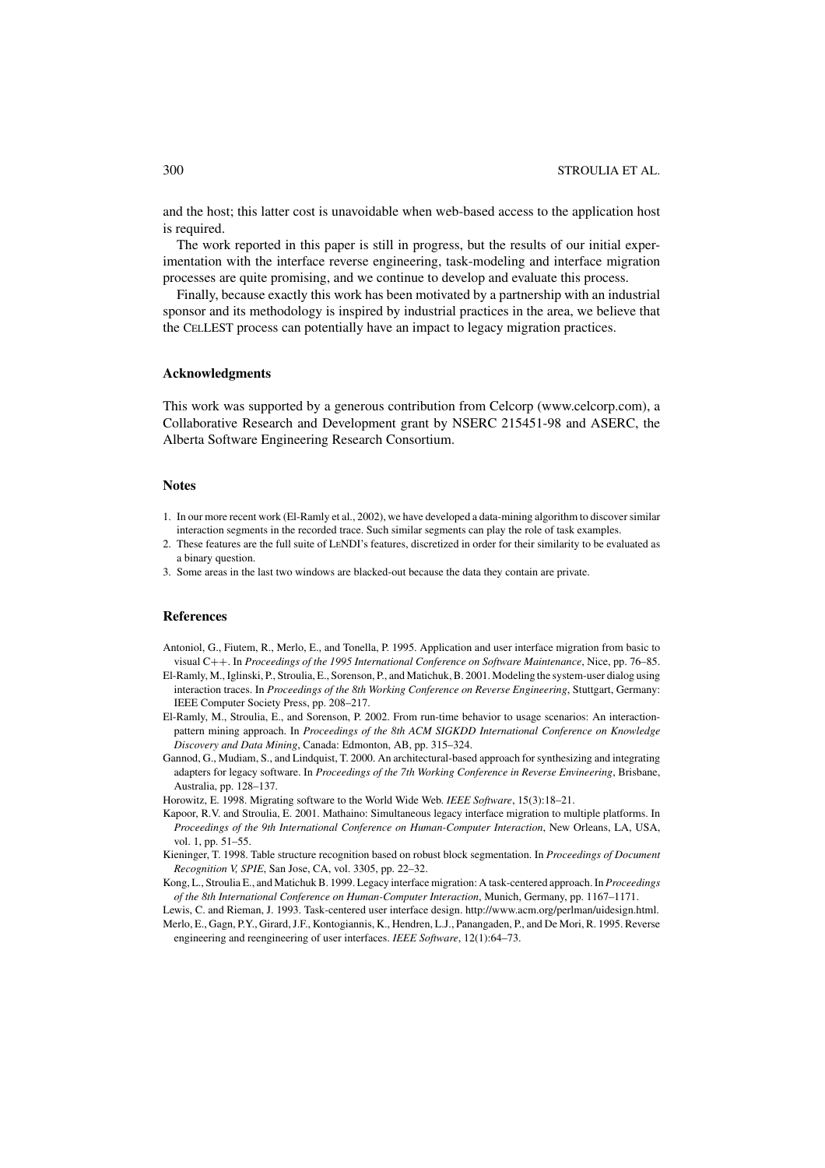#### 300 STROULIA ET AL.

and the host; this latter cost is unavoidable when web-based access to the application host is required.

The work reported in this paper is still in progress, but the results of our initial experimentation with the interface reverse engineering, task-modeling and interface migration processes are quite promising, and we continue to develop and evaluate this process.

Finally, because exactly this work has been motivated by a partnership with an industrial sponsor and its methodology is inspired by industrial practices in the area, we believe that the CELLEST process can potentially have an impact to legacy migration practices.

#### **Acknowledgments**

This work was supported by a generous contribution from Celcorp (www.celcorp.com), a Collaborative Research and Development grant by NSERC 215451-98 and ASERC, the Alberta Software Engineering Research Consortium.

#### **Notes**

- 1. In our more recent work (El-Ramly et al., 2002), we have developed a data-mining algorithm to discover similar interaction segments in the recorded trace. Such similar segments can play the role of task examples.
- 2. These features are the full suite of LENDI's features, discretized in order for their similarity to be evaluated as a binary question.
- 3. Some areas in the last two windows are blacked-out because the data they contain are private.

# **References**

- Antoniol, G., Fiutem, R., Merlo, E., and Tonella, P. 1995. Application and user interface migration from basic to visual C++. In *Proceedings of the 1995 International Conference on Software Maintenance*, Nice, pp. 76–85.
- El-Ramly, M., Iglinski, P., Stroulia, E., Sorenson, P., and Matichuk, B. 2001. Modeling the system-user dialog using interaction traces. In *Proceedings of the 8th Working Conference on Reverse Engineering*, Stuttgart, Germany: IEEE Computer Society Press, pp. 208–217.
- El-Ramly, M., Stroulia, E., and Sorenson, P. 2002. From run-time behavior to usage scenarios: An interactionpattern mining approach. In *Proceedings of the 8th ACM SIGKDD International Conference on Knowledge Discovery and Data Mining*, Canada: Edmonton, AB, pp. 315–324.
- Gannod, G., Mudiam, S., and Lindquist, T. 2000. An architectural-based approach for synthesizing and integrating adapters for legacy software. In *Proceedings of the 7th Working Conference in Reverse Envineering*, Brisbane, Australia, pp. 128–137.
- Horowitz, E. 1998. Migrating software to the World Wide Web. *IEEE Software*, 15(3):18–21.
- Kapoor, R.V. and Stroulia, E. 2001. Mathaino: Simultaneous legacy interface migration to multiple platforms. In *Proceedings of the 9th International Conference on Human-Computer Interaction*, New Orleans, LA, USA, vol. 1, pp. 51–55.
- Kieninger, T. 1998. Table structure recognition based on robust block segmentation. In *Proceedings of Document Recognition V, SPIE*, San Jose, CA, vol. 3305, pp. 22–32.
- Kong, L., Stroulia E., and Matichuk B. 1999. Legacy interface migration: A task-centered approach. In *Proceedings of the 8th International Conference on Human-Computer Interaction*, Munich, Germany, pp. 1167–1171.
- Lewis, C. and Rieman, J. 1993. Task-centered user interface design. http://www.acm.org/perlman/uidesign.html. Merlo, E., Gagn, P.Y., Girard, J.F., Kontogiannis, K., Hendren, L.J., Panangaden, P., and De Mori, R. 1995. Reverse engineering and reengineering of user interfaces. *IEEE Software*, 12(1):64–73.